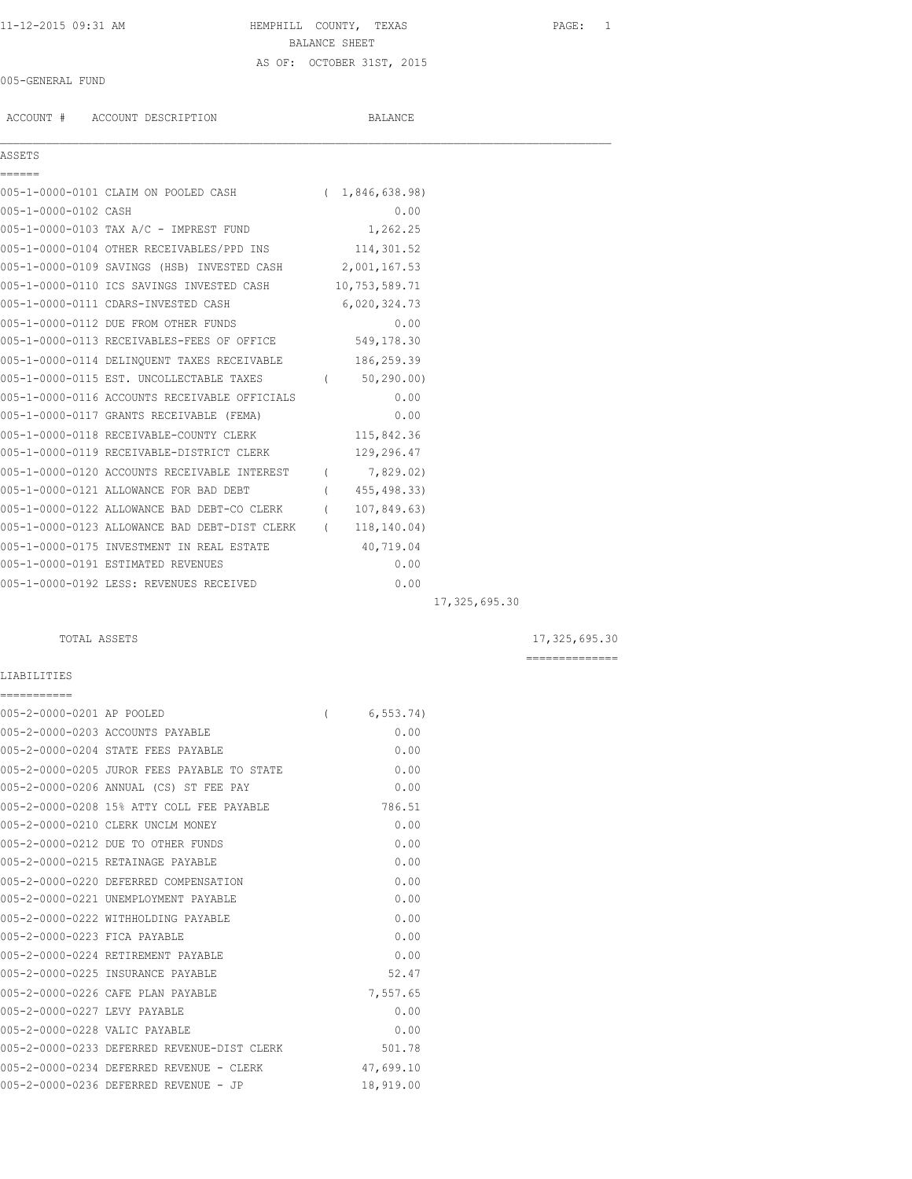## 11-12-2015 09:31 AM HEMPHILL COUNTY, TEXAS PAGE: 1 BALANCE SHEET AS OF: OCTOBER 31ST, 2015

#### 005-GENERAL FUND

ACCOUNT # ACCOUNT DESCRIPTION BALANCE

### ASSETS ======

 $\mathcal{L}_\mathcal{L} = \mathcal{L}_\mathcal{L}$ 

|                      | 005-1-0000-0101 CLAIM ON POOLED CASH      | (1, 846, 638, 98) |
|----------------------|-------------------------------------------|-------------------|
| 005-1-0000-0102 CASH |                                           | 0.00              |
|                      | 005-1-0000-0103 TAX A/C - IMPREST FUND    | 1,262.25          |
|                      | 005-1-0000-0104 OTHER RECEIVABLES/PPD INS | 114,301.52        |

| OUS I OUGO UIUI UIHIN NICIIVANIIUU/IID ING    |                  | 1171 J J 1 . J 4 |  |
|-----------------------------------------------|------------------|------------------|--|
| 005-1-0000-0109 SAVINGS (HSB) INVESTED CASH   |                  | 2,001,167.53     |  |
| 005-1-0000-0110 ICS SAVINGS INVESTED CASH     |                  | 10,753,589.71    |  |
| 005-1-0000-0111 CDARS-INVESTED CASH           |                  | 6,020,324.73     |  |
| 005-1-0000-0112 DUE FROM OTHER FUNDS          |                  | 0.00             |  |
| 005-1-0000-0113 RECEIVABLES-FEES OF OFFICE    |                  | 549,178.30       |  |
| 005-1-0000-0114 DELINQUENT TAXES RECEIVABLE   |                  | 186,259.39       |  |
| 005-1-0000-0115 EST. UNCOLLECTABLE TAXES      | $\overline{(\ }$ | 50, 290, 00      |  |
| 005-1-0000-0116 ACCOUNTS RECEIVABLE OFFICIALS |                  | 0.00             |  |
| 005-1-0000-0117 GRANTS RECEIVABLE (FEMA)      |                  | 0.00             |  |
| 005-1-0000-0118 RECEIVABLE-COUNTY CLERK       |                  | 115,842.36       |  |
| 005-1-0000-0119 RECEIVABLE-DISTRICT CLERK     |                  | 129,296.47       |  |
| 005-1-0000-0120 ACCOUNTS RECEIVABLE INTEREST  | $\overline{(\ }$ | 7,829.02)        |  |
| 005-1-0000-0121 ALLOWANCE FOR BAD DEBT        | $\overline{(}$   | 455, 498.33)     |  |
| 005-1-0000-0122 ALLOWANCE BAD DEBT-CO CLERK   | $\overline{(\ }$ | 107,849.63)      |  |
| 005-1-0000-0123 ALLOWANCE BAD DEBT-DIST CLERK | $\overline{(\ }$ | 118, 140.04)     |  |
| 005-1-0000-0175 INVESTMENT IN REAL ESTATE     |                  | 40,719.04        |  |
| 005-1-0000-0191 ESTIMATED REVENUES            |                  | 0.00             |  |
| 005-1-0000-0192 LESS: REVENUES RECEIVED       |                  | 0.00             |  |

17,325,695.30

#### TOTAL ASSETS 17,325,695.30

==============

#### LIABILITIES ===========

| 005-2-0000-0201 AP POOLED     |                                             | 6, 553.74 |
|-------------------------------|---------------------------------------------|-----------|
|                               | 005-2-0000-0203 ACCOUNTS PAYABLE            | 0.00      |
|                               | 005-2-0000-0204 STATE FEES PAYABLE          | 0.00      |
|                               | 005-2-0000-0205 JUROR FEES PAYABLE TO STATE | 0.00      |
|                               | 005-2-0000-0206 ANNUAL (CS) ST FEE PAY      | 0.00      |
|                               | 005-2-0000-0208 15% ATTY COLL FEE PAYABLE   | 786.51    |
|                               | 005-2-0000-0210 CLERK UNCLM MONEY           | 0.00      |
|                               | 005-2-0000-0212 DUE TO OTHER FUNDS          | 0.00      |
|                               | 005-2-0000-0215 RETAINAGE PAYABLE           | 0.00      |
|                               | 005-2-0000-0220 DEFERRED COMPENSATION       | 0.00      |
|                               | 005-2-0000-0221 UNEMPLOYMENT PAYABLE        | 0.00      |
|                               | 005-2-0000-0222 WITHHOLDING PAYABLE         | 0.00      |
| 005-2-0000-0223 FICA PAYABLE  |                                             | 0.00      |
|                               | 005-2-0000-0224 RETIREMENT PAYABLE          | 0.00      |
|                               | 005-2-0000-0225 INSURANCE PAYABLE           | 52.47     |
|                               | 005-2-0000-0226 CAFE PLAN PAYABLE           | 7,557.65  |
| 005-2-0000-0227 LEVY PAYABLE  |                                             | 0.00      |
| 005-2-0000-0228 VALIC PAYABLE |                                             | 0.00      |
|                               | 005-2-0000-0233 DEFERRED REVENUE-DIST CLERK | 501.78    |
|                               | 005-2-0000-0234 DEFERRED REVENUE - CLERK    | 47,699.10 |
|                               | 005-2-0000-0236 DEFERRED REVENUE - JP       | 18,919.00 |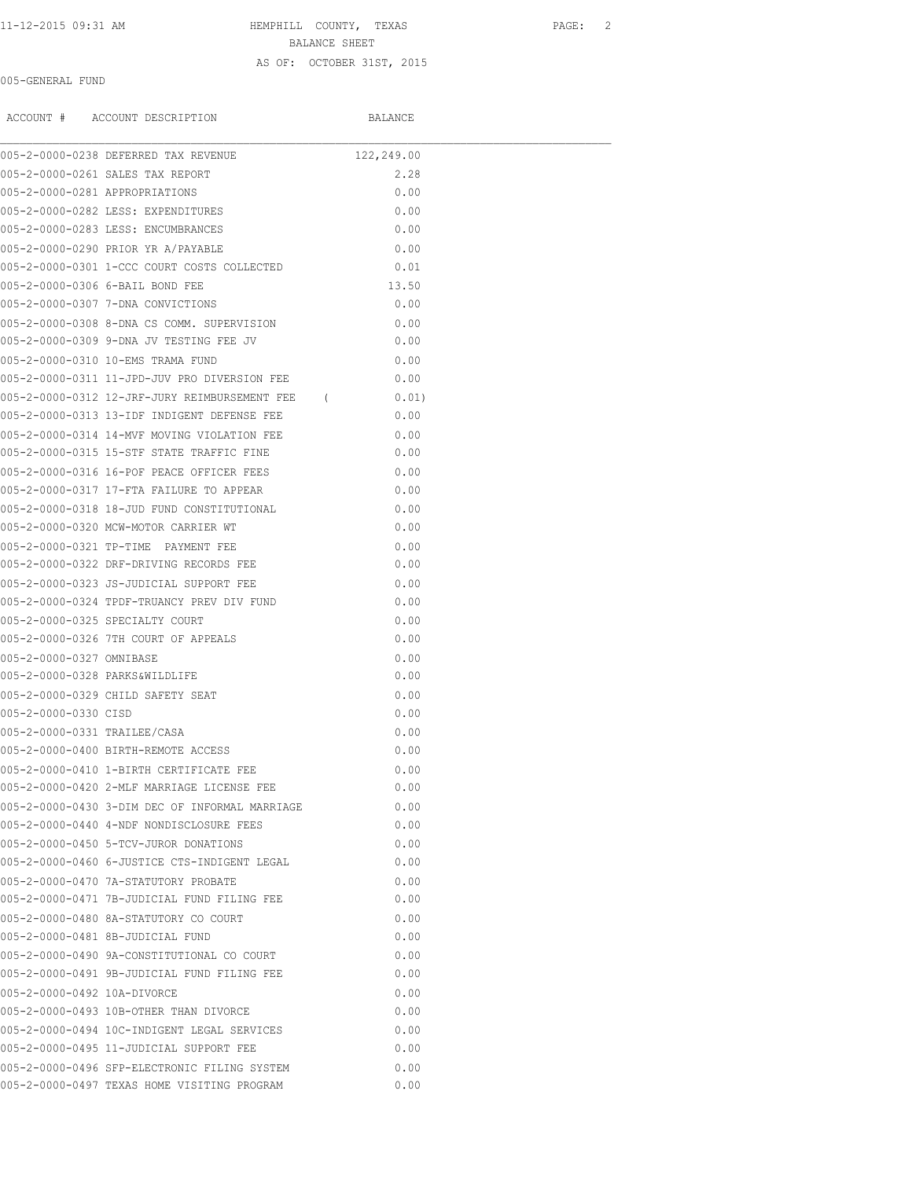# 11-12-2015 09:31 AM HEMPHILL COUNTY, TEXAS PAGE: 2 BALANCE SHEET AS OF: OCTOBER 31ST, 2015

#### 005-GENERAL FUND

ACCOUNT # ACCOUNT DESCRIPTION BALANCE

|                                | 005-2-0000-0238 DEFERRED TAX REVENUE            | 122,249.00 |       |  |
|--------------------------------|-------------------------------------------------|------------|-------|--|
|                                | 005-2-0000-0261 SALES TAX REPORT                |            | 2.28  |  |
| 005-2-0000-0281 APPROPRIATIONS |                                                 |            | 0.00  |  |
|                                | 005-2-0000-0282 LESS: EXPENDITURES              |            | 0.00  |  |
|                                | 005-2-0000-0283 LESS: ENCUMBRANCES              |            | 0.00  |  |
|                                | 005-2-0000-0290 PRIOR YR A/PAYABLE              |            | 0.00  |  |
|                                | 005-2-0000-0301 1-CCC COURT COSTS COLLECTED     |            | 0.01  |  |
|                                | 005-2-0000-0306 6-BAIL BOND FEE                 |            | 13.50 |  |
|                                | 005-2-0000-0307 7-DNA CONVICTIONS               |            | 0.00  |  |
|                                | 005-2-0000-0308 8-DNA CS COMM. SUPERVISION      |            | 0.00  |  |
|                                | 005-2-0000-0309 9-DNA JV TESTING FEE JV         |            | 0.00  |  |
|                                | 005-2-0000-0310 10-EMS TRAMA FUND               |            | 0.00  |  |
|                                | 005-2-0000-0311 11-JPD-JUV PRO DIVERSION FEE    |            | 0.00  |  |
|                                | 005-2-0000-0312 12-JRF-JURY REIMBURSEMENT FEE ( |            | 0.01) |  |
|                                | 005-2-0000-0313 13-IDF INDIGENT DEFENSE FEE     |            | 0.00  |  |
|                                | 005-2-0000-0314 14-MVF MOVING VIOLATION FEE     |            | 0.00  |  |
|                                | 005-2-0000-0315 15-STF STATE TRAFFIC FINE       |            | 0.00  |  |
|                                | 005-2-0000-0316 16-POF PEACE OFFICER FEES       |            | 0.00  |  |
|                                | 005-2-0000-0317 17-FTA FAILURE TO APPEAR        |            | 0.00  |  |
|                                | 005-2-0000-0318 18-JUD FUND CONSTITUTIONAL      |            | 0.00  |  |
|                                | 005-2-0000-0320 MCW-MOTOR CARRIER WT            |            | 0.00  |  |
|                                | 005-2-0000-0321 TP-TIME PAYMENT FEE             |            | 0.00  |  |
|                                | 005-2-0000-0322 DRF-DRIVING RECORDS FEE         |            | 0.00  |  |
|                                | 005-2-0000-0323 JS-JUDICIAL SUPPORT FEE         |            | 0.00  |  |
|                                | 005-2-0000-0324 TPDF-TRUANCY PREV DIV FUND      |            | 0.00  |  |
|                                | 005-2-0000-0325 SPECIALTY COURT                 |            | 0.00  |  |
|                                | 005-2-0000-0326 7TH COURT OF APPEALS            |            | 0.00  |  |
| 005-2-0000-0327 OMNIBASE       |                                                 |            | 0.00  |  |
| 005-2-0000-0328 PARKS&WILDLIFE |                                                 |            | 0.00  |  |
|                                | 005-2-0000-0329 CHILD SAFETY SEAT               |            | 0.00  |  |
| 005-2-0000-0330 CISD           |                                                 |            | 0.00  |  |
| 005-2-0000-0331 TRAILEE/CASA   |                                                 |            | 0.00  |  |
|                                | 005-2-0000-0400 BIRTH-REMOTE ACCESS             |            | 0.00  |  |
|                                | 005-2-0000-0410 1-BIRTH CERTIFICATE FEE         |            | 0.00  |  |
|                                | 005-2-0000-0420 2-MLF MARRIAGE LICENSE FEE      |            | 0.00  |  |
|                                | 005-2-0000-0430 3-DIM DEC OF INFORMAL MARRIAGE  |            | 0.00  |  |
|                                | 005-2-0000-0440 4-NDF NONDISCLOSURE FEES        |            | 0.00  |  |
|                                | 005-2-0000-0450 5-TCV-JUROR DONATIONS           |            | 0.00  |  |
|                                | 005-2-0000-0460 6-JUSTICE CTS-INDIGENT LEGAL    |            | 0.00  |  |
|                                | 005-2-0000-0470 7A-STATUTORY PROBATE            |            | 0.00  |  |
|                                | 005-2-0000-0471 7B-JUDICIAL FUND FILING FEE     |            | 0.00  |  |
|                                | 005-2-0000-0480 8A-STATUTORY CO COURT           |            | 0.00  |  |
|                                | 005-2-0000-0481 8B-JUDICIAL FUND                |            | 0.00  |  |
|                                | 005-2-0000-0490 9A-CONSTITUTIONAL CO COURT      |            | 0.00  |  |
|                                | 005-2-0000-0491 9B-JUDICIAL FUND FILING FEE     |            | 0.00  |  |
| 005-2-0000-0492 10A-DIVORCE    |                                                 |            | 0.00  |  |
|                                | 005-2-0000-0493 10B-OTHER THAN DIVORCE          |            | 0.00  |  |
|                                | 005-2-0000-0494 10C-INDIGENT LEGAL SERVICES     |            | 0.00  |  |
|                                | 005-2-0000-0495 11-JUDICIAL SUPPORT FEE         |            | 0.00  |  |
|                                | 005-2-0000-0496 SFP-ELECTRONIC FILING SYSTEM    |            | 0.00  |  |
|                                | 005-2-0000-0497 TEXAS HOME VISITING PROGRAM     |            | 0.00  |  |
|                                |                                                 |            |       |  |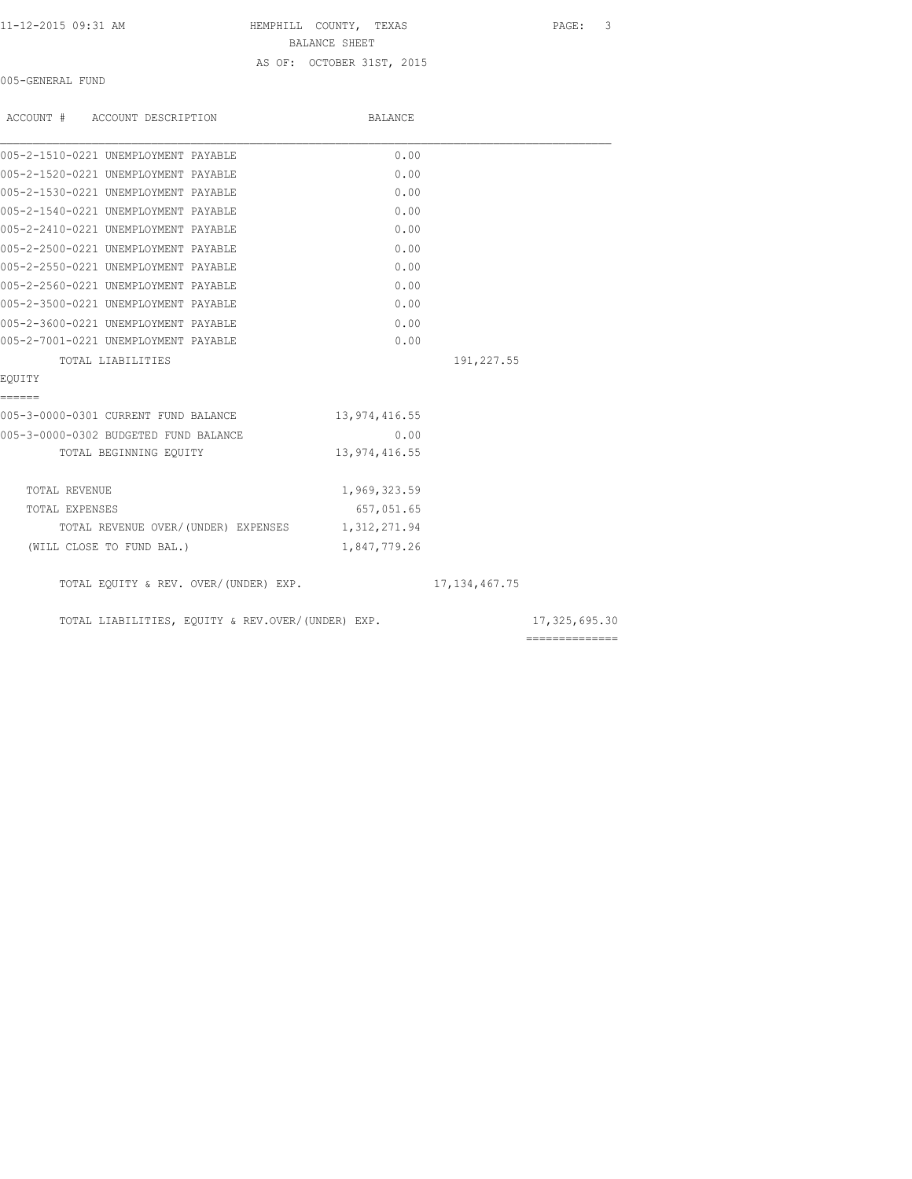|  |  |  |  |  | 11-12-2015 09:31 AM |
|--|--|--|--|--|---------------------|
|  |  |  |  |  |                     |

HEMPHILL COUNTY, TEXAS PAGE: 3 BALANCE SHEET AS OF: OCTOBER 31ST, 2015

005-GENERAL FUND

| ACCOUNT # ACCOUNT DESCRIPTION                     | BALANCE       |                  |               |
|---------------------------------------------------|---------------|------------------|---------------|
| 005-2-1510-0221 UNEMPLOYMENT PAYABLE              | 0.00          |                  |               |
| 005-2-1520-0221 UNEMPLOYMENT PAYABLE              | 0.00          |                  |               |
| 005-2-1530-0221 UNEMPLOYMENT PAYABLE              | 0.00          |                  |               |
| 005-2-1540-0221 UNEMPLOYMENT PAYABLE              | 0.00          |                  |               |
| 005-2-2410-0221 UNEMPLOYMENT PAYABLE              | 0.00          |                  |               |
| 005-2-2500-0221 UNEMPLOYMENT PAYABLE              | 0.00          |                  |               |
| 005-2-2550-0221 UNEMPLOYMENT PAYABLE              | 0.00          |                  |               |
| 005-2-2560-0221 UNEMPLOYMENT PAYABLE              | 0.00          |                  |               |
| 005-2-3500-0221 UNEMPLOYMENT PAYABLE              | 0.00          |                  |               |
| 005-2-3600-0221 UNEMPLOYMENT PAYABLE              | 0.00          |                  |               |
| 005-2-7001-0221 UNEMPLOYMENT PAYABLE              | 0.00          |                  |               |
| TOTAL LIABILITIES                                 |               | 191,227.55       |               |
| EOUITY                                            |               |                  |               |
| ======<br>005-3-0000-0301 CURRENT FUND BALANCE    | 13,974,416.55 |                  |               |
| 005-3-0000-0302 BUDGETED FUND BALANCE             | 0.00          |                  |               |
| TOTAL BEGINNING EQUITY                            | 13,974,416.55 |                  |               |
| TOTAL REVENUE                                     | 1,969,323.59  |                  |               |
| TOTAL EXPENSES                                    | 657,051.65    |                  |               |
| TOTAL REVENUE OVER/(UNDER) EXPENSES 1,312,271.94  |               |                  |               |
| (WILL CLOSE TO FUND BAL.)                         | 1,847,779.26  |                  |               |
| TOTAL EQUITY & REV. OVER/(UNDER) EXP.             |               | 17, 134, 467. 75 |               |
| TOTAL LIABILITIES, EQUITY & REV.OVER/(UNDER) EXP. |               |                  | 17,325,695.30 |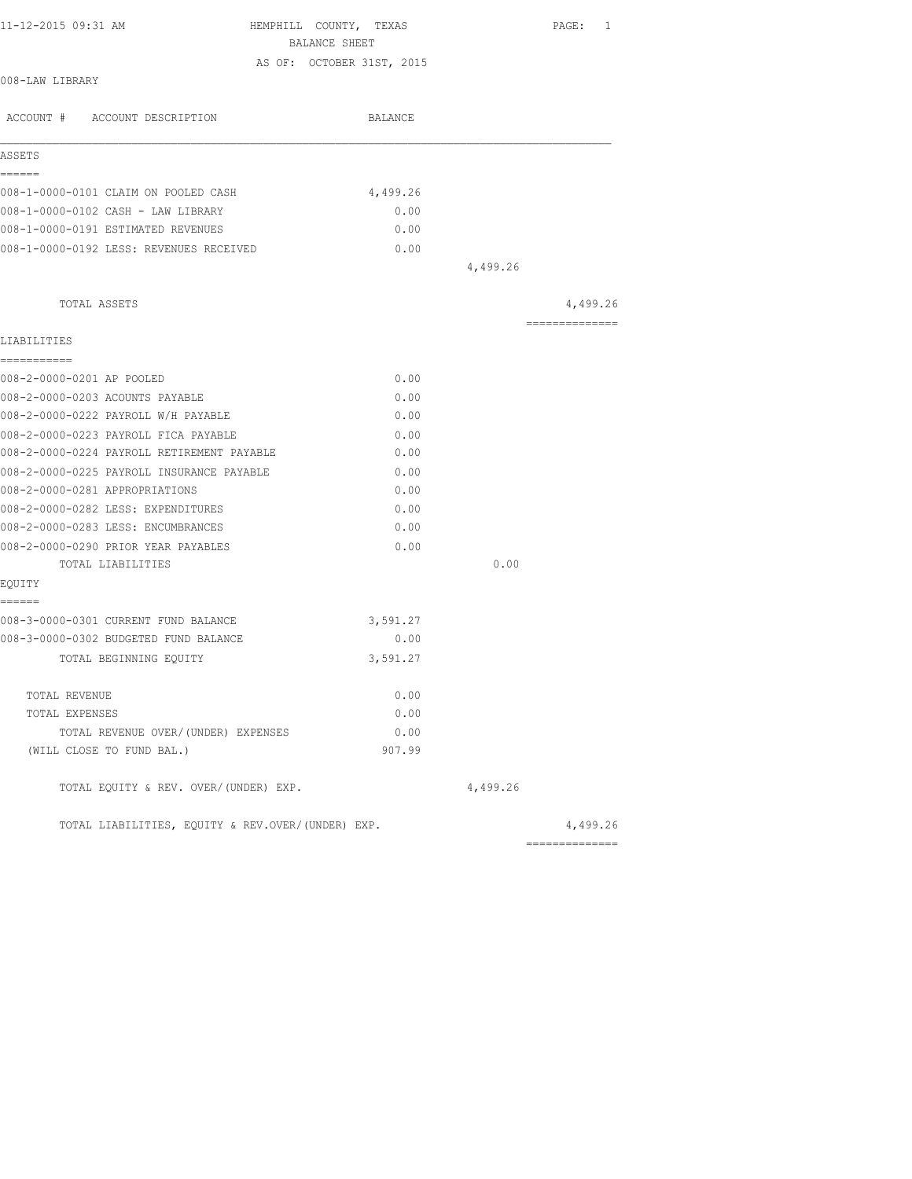| 11-12-2015 09:31 AM                               | HEMPHILL COUNTY, TEXAS<br>BALANCE SHEET |          | PAGE: 1         |
|---------------------------------------------------|-----------------------------------------|----------|-----------------|
|                                                   | AS OF: OCTOBER 31ST, 2015               |          |                 |
| 008-LAW LIBRARY                                   |                                         |          |                 |
| ACCOUNT # ACCOUNT DESCRIPTION                     | BALANCE                                 |          |                 |
| ASSETS                                            |                                         |          |                 |
| ======                                            |                                         |          |                 |
| 008-1-0000-0101 CLAIM ON POOLED CASH              | 4,499.26                                |          |                 |
| 008-1-0000-0102 CASH - LAW LIBRARY                | 0.00                                    |          |                 |
| 008-1-0000-0191 ESTIMATED REVENUES                | 0.00                                    |          |                 |
| 008-1-0000-0192 LESS: REVENUES RECEIVED           | 0.00                                    |          |                 |
|                                                   |                                         | 4,499.26 |                 |
| TOTAL ASSETS                                      |                                         |          | 4,499.26        |
| LIABILITIES                                       |                                         |          | --------------- |
| ===========                                       |                                         |          |                 |
| 008-2-0000-0201 AP POOLED                         | 0.00                                    |          |                 |
| 008-2-0000-0203 ACOUNTS PAYABLE                   | 0.00                                    |          |                 |
| 008-2-0000-0222 PAYROLL W/H PAYABLE               | 0.00                                    |          |                 |
| 008-2-0000-0223 PAYROLL FICA PAYABLE              | 0.00                                    |          |                 |
| 008-2-0000-0224 PAYROLL RETIREMENT PAYABLE        | 0.00                                    |          |                 |
| 008-2-0000-0225 PAYROLL INSURANCE PAYABLE         | 0.00                                    |          |                 |
| 008-2-0000-0281 APPROPRIATIONS                    | 0.00                                    |          |                 |
| 008-2-0000-0282 LESS: EXPENDITURES                | 0.00                                    |          |                 |
| 008-2-0000-0283 LESS: ENCUMBRANCES                | 0.00                                    |          |                 |
| 008-2-0000-0290 PRIOR YEAR PAYABLES               | 0.00                                    |          |                 |
| TOTAL LIABILITIES                                 |                                         | 0.00     |                 |
| EOUITY                                            |                                         |          |                 |
| ======<br>008-3-0000-0301 CURRENT FUND BALANCE    | 3,591.27                                |          |                 |
| 008-3-0000-0302 BUDGETED FUND BALANCE             | 0.00                                    |          |                 |
| TOTAL BEGINNING EOUITY                            | 3,591.27                                |          |                 |
| TOTAL REVENUE                                     | 0.00                                    |          |                 |
| TOTAL EXPENSES                                    | 0.00                                    |          |                 |
| TOTAL REVENUE OVER/(UNDER) EXPENSES               | 0.00                                    |          |                 |
| (WILL CLOSE TO FUND BAL.)                         | 907.99                                  |          |                 |
| TOTAL EQUITY & REV. OVER/(UNDER) EXP.             |                                         | 4,499.26 |                 |
| TOTAL LIABILITIES, EQUITY & REV.OVER/(UNDER) EXP. |                                         |          | 4,499.26        |
|                                                   |                                         |          |                 |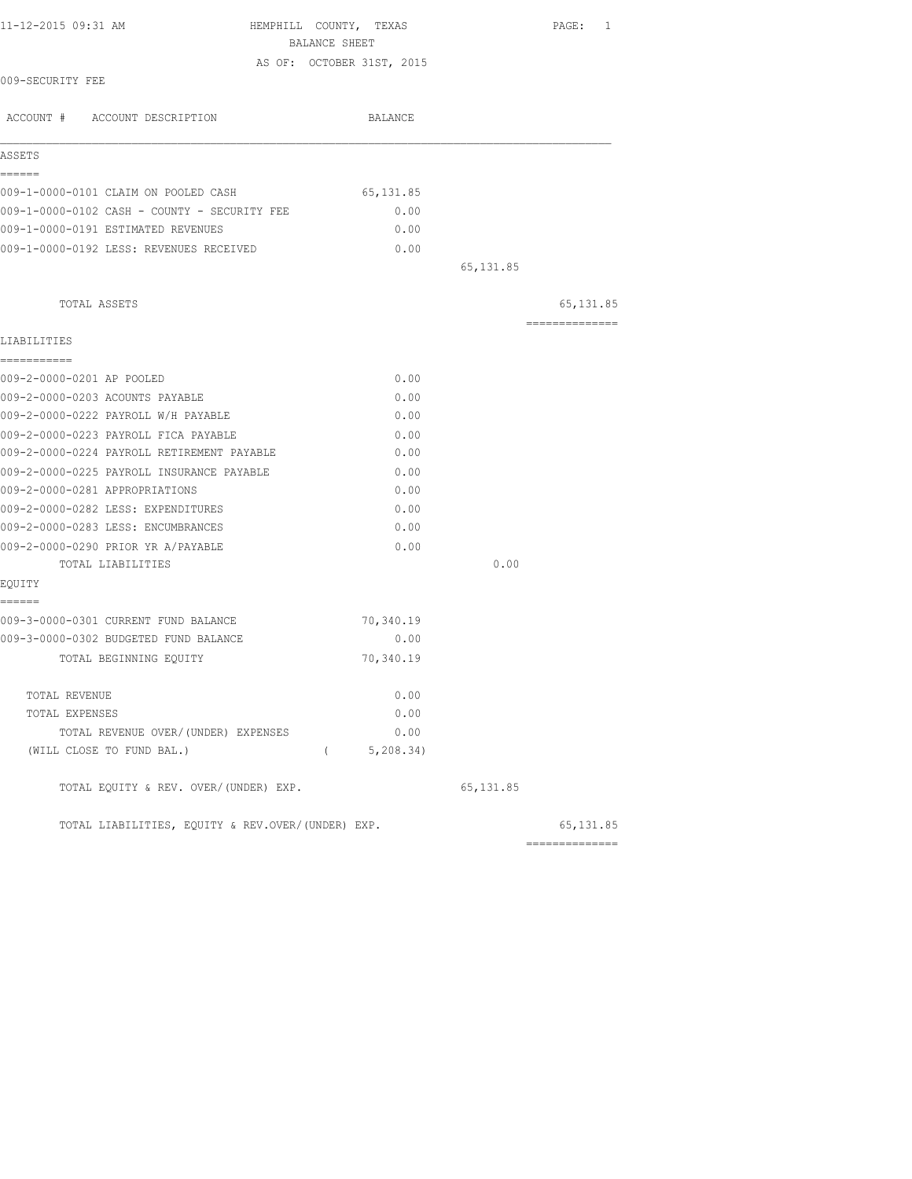| 11-12-2015 09:31 AM                               | HEMPHILL COUNTY, TEXAS<br>BALANCE SHEET |            | PAGE: 1        |
|---------------------------------------------------|-----------------------------------------|------------|----------------|
|                                                   | AS OF: OCTOBER 31ST, 2015               |            |                |
| 009-SECURITY FEE                                  |                                         |            |                |
| ACCOUNT # ACCOUNT DESCRIPTION                     | BALANCE                                 |            |                |
| ASSETS                                            |                                         |            |                |
| ======<br>009-1-0000-0101 CLAIM ON POOLED CASH    | 65,131.85                               |            |                |
| 009-1-0000-0102 CASH - COUNTY - SECURITY FEE      | 0.00                                    |            |                |
| 009-1-0000-0191 ESTIMATED REVENUES                | 0.00                                    |            |                |
| 009-1-0000-0192 LESS: REVENUES RECEIVED           | 0.00                                    |            |                |
|                                                   |                                         | 65, 131.85 |                |
| TOTAL ASSETS                                      |                                         |            | 65, 131.85     |
| LIABILITIES                                       |                                         |            | ============== |
| -----------<br>009-2-0000-0201 AP POOLED          | 0.00                                    |            |                |
| 009-2-0000-0203 ACOUNTS PAYABLE                   | 0.00                                    |            |                |
| 009-2-0000-0222 PAYROLL W/H PAYABLE               | 0.00                                    |            |                |
| 009-2-0000-0223 PAYROLL FICA PAYABLE              | 0.00                                    |            |                |
| 009-2-0000-0224 PAYROLL RETIREMENT PAYABLE        | 0.00                                    |            |                |
| 009-2-0000-0225 PAYROLL INSURANCE PAYABLE         | 0.00                                    |            |                |
| 009-2-0000-0281 APPROPRIATIONS                    | 0.00                                    |            |                |
| 009-2-0000-0282 LESS: EXPENDITURES                | 0.00                                    |            |                |
| 009-2-0000-0283 LESS: ENCUMBRANCES                | 0.00                                    |            |                |
| 009-2-0000-0290 PRIOR YR A/PAYABLE                | 0.00                                    |            |                |
| TOTAL LIABILITIES                                 |                                         | 0.00       |                |
| EQUITY<br>======                                  |                                         |            |                |
| 009-3-0000-0301 CURRENT FUND BALANCE              | 70,340.19                               |            |                |
| 009-3-0000-0302 BUDGETED FUND BALANCE             | 0.00                                    |            |                |
| TOTAL BEGINNING EQUITY                            | 70,340.19                               |            |                |
| TOTAL REVENUE                                     | 0.00                                    |            |                |
| TOTAL EXPENSES                                    | 0.00                                    |            |                |
| TOTAL REVENUE OVER/(UNDER) EXPENSES               | 0.00                                    |            |                |
| (WILL CLOSE TO FUND BAL.)                         | (5, 208.34)                             |            |                |
| TOTAL EQUITY & REV. OVER/(UNDER) EXP.             |                                         | 65, 131.85 |                |
| TOTAL LIABILITIES, EQUITY & REV.OVER/(UNDER) EXP. |                                         |            | 65, 131.85     |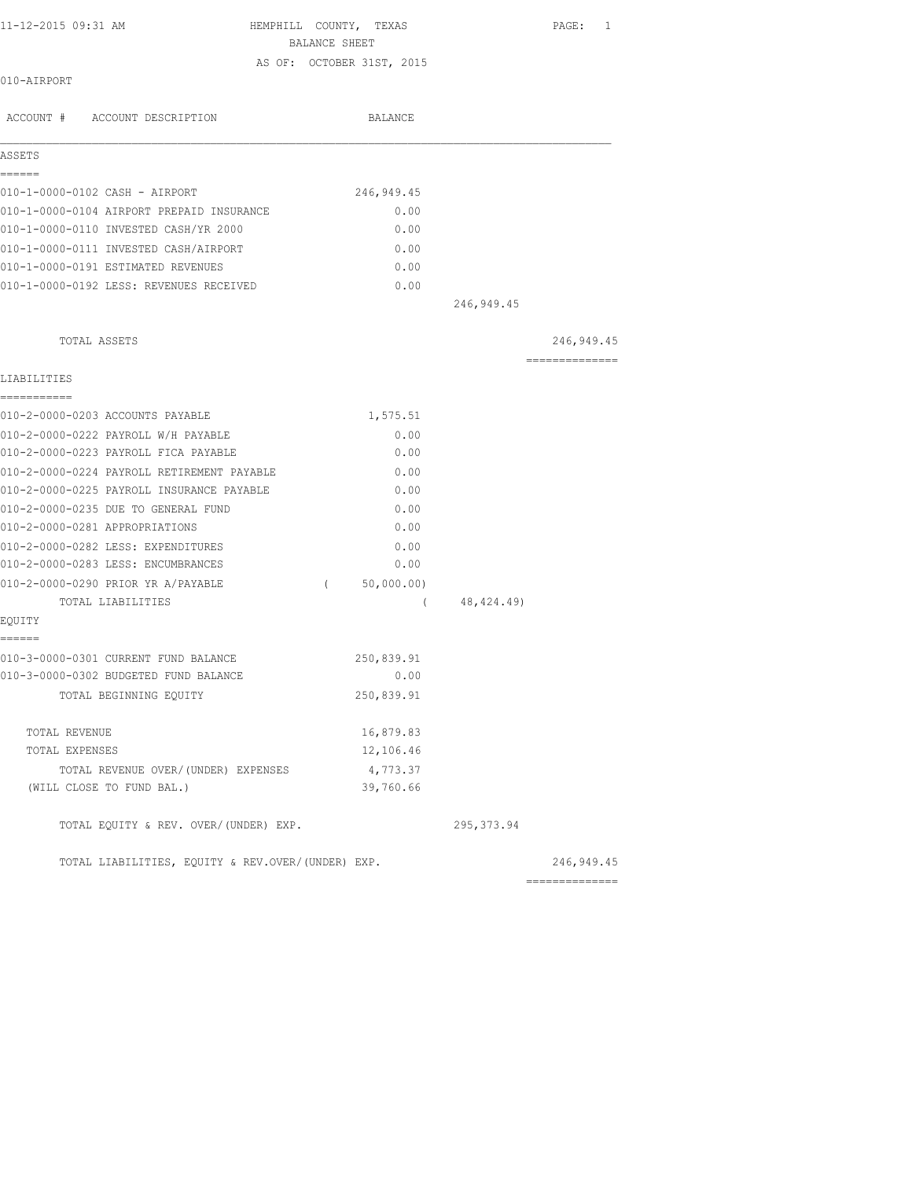| 11-12-2015 09:31 AM |                               | HEMPHILL COUNTY, TEXAS |                           | PAGE: | $\overline{\phantom{0}}$ |
|---------------------|-------------------------------|------------------------|---------------------------|-------|--------------------------|
|                     |                               | BALANCE SHEET          |                           |       |                          |
| 010-AIRPORT         |                               |                        | AS OF: OCTOBER 31ST, 2015 |       |                          |
|                     | ACCOUNT # ACCOUNT DESCRIPTION |                        | BALANCE                   |       |                          |

| ASSETS<br>======                                  |                        |             |                              |
|---------------------------------------------------|------------------------|-------------|------------------------------|
| 010-1-0000-0102 CASH - AIRPORT                    | 246,949.45             |             |                              |
| 010-1-0000-0104 AIRPORT PREPAID INSURANCE         | 0.00                   |             |                              |
| 010-1-0000-0110 INVESTED CASH/YR 2000             | 0.00                   |             |                              |
| 010-1-0000-0111 INVESTED CASH/AIRPORT             | 0.00                   |             |                              |
| 010-1-0000-0191 ESTIMATED REVENUES                | 0.00                   |             |                              |
| 010-1-0000-0192 LESS: REVENUES RECEIVED           | 0.00                   |             |                              |
|                                                   |                        | 246, 949.45 |                              |
| TOTAL ASSETS                                      |                        |             | 246,949.45<br>______________ |
| LIABILITIES                                       |                        |             |                              |
| ===========<br>010-2-0000-0203 ACCOUNTS PAYABLE   | 1,575.51               |             |                              |
| 010-2-0000-0222 PAYROLL W/H PAYABLE               | 0.00                   |             |                              |
| 010-2-0000-0223 PAYROLL FICA PAYABLE              | 0.00                   |             |                              |
| 010-2-0000-0224 PAYROLL RETIREMENT PAYABLE        | 0.00                   |             |                              |
| 010-2-0000-0225 PAYROLL INSURANCE PAYABLE         | 0.00                   |             |                              |
| 010-2-0000-0235 DUE TO GENERAL FUND               | 0.00                   |             |                              |
| 010-2-0000-0281 APPROPRIATIONS                    | 0.00                   |             |                              |
| 010-2-0000-0282 LESS: EXPENDITURES                | 0.00                   |             |                              |
| 010-2-0000-0283 LESS: ENCUMBRANCES                | 0.00                   |             |                              |
| 010-2-0000-0290 PRIOR YR A/PAYABLE                | 50,000.00)<br>$\left($ |             |                              |
| TOTAL LIABILITIES                                 | $\left($               | 48,424.49)  |                              |
| EOUITY<br>------                                  |                        |             |                              |
| 010-3-0000-0301 CURRENT FUND BALANCE              | 250,839.91             |             |                              |
| 010-3-0000-0302 BUDGETED FUND BALANCE             | 0.00                   |             |                              |
| TOTAL BEGINNING EQUITY                            | 250,839.91             |             |                              |
| TOTAL REVENUE                                     | 16,879.83              |             |                              |
| TOTAL EXPENSES                                    | 12,106.46              |             |                              |
| TOTAL REVENUE OVER/(UNDER) EXPENSES               | 4,773.37               |             |                              |
| (WILL CLOSE TO FUND BAL.)                         | 39,760.66              |             |                              |
| TOTAL EQUITY & REV. OVER/(UNDER) EXP.             |                        | 295, 373.94 |                              |
| TOTAL LIABILITIES, EQUITY & REV.OVER/(UNDER) EXP. |                        |             | 246, 949.45                  |
|                                                   |                        |             | ==============               |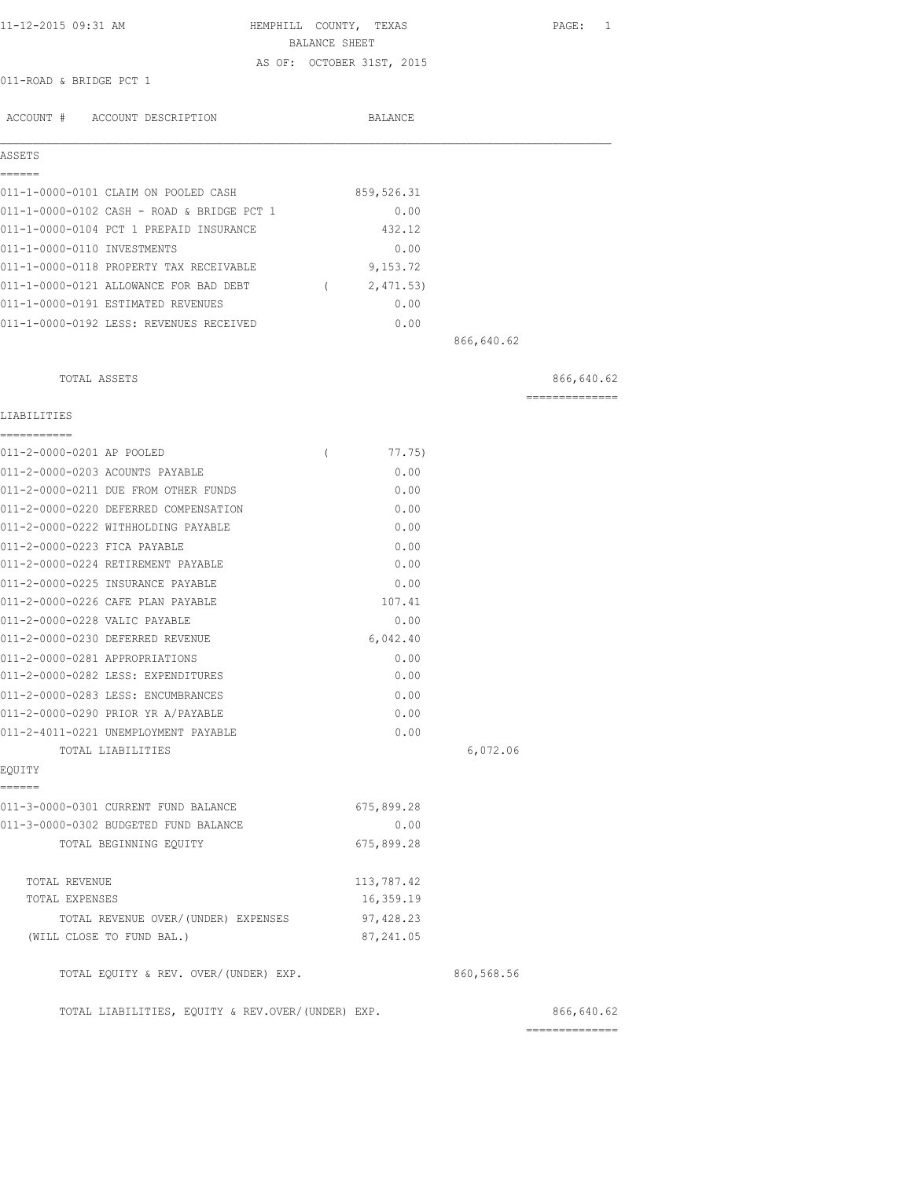| 11-12-2015 09:31 AM     |                     | HEMPHILL COUNTY, TEXAS    |         | PAGE: 1 |  |
|-------------------------|---------------------|---------------------------|---------|---------|--|
|                         |                     | BALANCE SHEET             |         |         |  |
| 011-ROAD & BRIDGE PCT 1 |                     | AS OF: OCTOBER 31ST, 2015 |         |         |  |
|                         |                     |                           |         |         |  |
| ACCOUNT #               | ACCOUNT DESCRIPTION |                           | BALANCE |         |  |

| ASSETS                      |                                            |            |            |  |
|-----------------------------|--------------------------------------------|------------|------------|--|
|                             |                                            |            |            |  |
|                             | 011-1-0000-0101 CLAIM ON POOLED CASH       | 859,526.31 |            |  |
|                             | 011-1-0000-0102 CASH - ROAD & BRIDGE PCT 1 | 0.00       |            |  |
|                             | 011-1-0000-0104 PCT 1 PREPAID INSURANCE    | 432.12     |            |  |
| 011-1-0000-0110 INVESTMENTS |                                            | 0.00       |            |  |
|                             | 011-1-0000-0118 PROPERTY TAX RECEIVABLE    | 9,153.72   |            |  |
|                             | 011-1-0000-0121 ALLOWANCE FOR BAD DEBT     | 2,471.53)  |            |  |
|                             | 011-1-0000-0191 ESTIMATED REVENUES         | 0.00       |            |  |
|                             | 011-1-0000-0192 LESS: REVENUES RECEIVED    | 0.00       |            |  |
|                             |                                            |            | 866,640.62 |  |

| TOTAL ASSETS                             |                    |            | 866,640.62<br>============== |
|------------------------------------------|--------------------|------------|------------------------------|
| LIABILITIES                              |                    |            |                              |
| ===========<br>011-2-0000-0201 AP POOLED | 77.75)<br>$\left($ |            |                              |
| 011-2-0000-0203 ACOUNTS PAYABLE          | 0.00               |            |                              |
| 011-2-0000-0211 DUE FROM OTHER FUNDS     | 0.00               |            |                              |
| 011-2-0000-0220 DEFERRED COMPENSATION    | 0.00               |            |                              |
| 011-2-0000-0222 WITHHOLDING PAYABLE      | 0.00               |            |                              |
| 011-2-0000-0223 FICA PAYABLE             | 0.00               |            |                              |
| 011-2-0000-0224 RETIREMENT PAYABLE       | 0.00               |            |                              |
| 011-2-0000-0225 INSURANCE PAYABLE        | 0.00               |            |                              |
| 011-2-0000-0226 CAFE PLAN PAYABLE        | 107.41             |            |                              |
| 011-2-0000-0228 VALIC PAYABLE            | 0.00               |            |                              |
| 011-2-0000-0230 DEFERRED REVENUE         | 6,042.40           |            |                              |
| 011-2-0000-0281 APPROPRIATIONS           | 0.00               |            |                              |
| 011-2-0000-0282 LESS: EXPENDITURES       | 0.00               |            |                              |
| 011-2-0000-0283 LESS: ENCUMBRANCES       | 0.00               |            |                              |
| 011-2-0000-0290 PRIOR YR A/PAYABLE       | 0.00               |            |                              |
| 011-2-4011-0221 UNEMPLOYMENT PAYABLE     | 0.00               |            |                              |
| TOTAL LIABILITIES                        |                    | 6,072.06   |                              |
| EQUITY                                   |                    |            |                              |
| ======                                   |                    |            |                              |
| 011-3-0000-0301 CURRENT FUND BALANCE     | 675,899.28         |            |                              |
| 011-3-0000-0302 BUDGETED FUND BALANCE    | 0.00               |            |                              |
| TOTAL BEGINNING EOUITY                   | 675,899.28         |            |                              |
| TOTAL REVENUE                            | 113,787.42         |            |                              |
| TOTAL EXPENSES                           | 16,359.19          |            |                              |
| TOTAL REVENUE OVER/(UNDER) EXPENSES      | 97,428.23          |            |                              |
| (WILL CLOSE TO FUND BAL.)                | 87, 241.05         |            |                              |
| TOTAL EQUITY & REV. OVER/(UNDER) EXP.    |                    | 860,568.56 |                              |
|                                          |                    |            |                              |

TOTAL LIABILITIES, EQUITY & REV.OVER/(UNDER) EXP. (866,640.62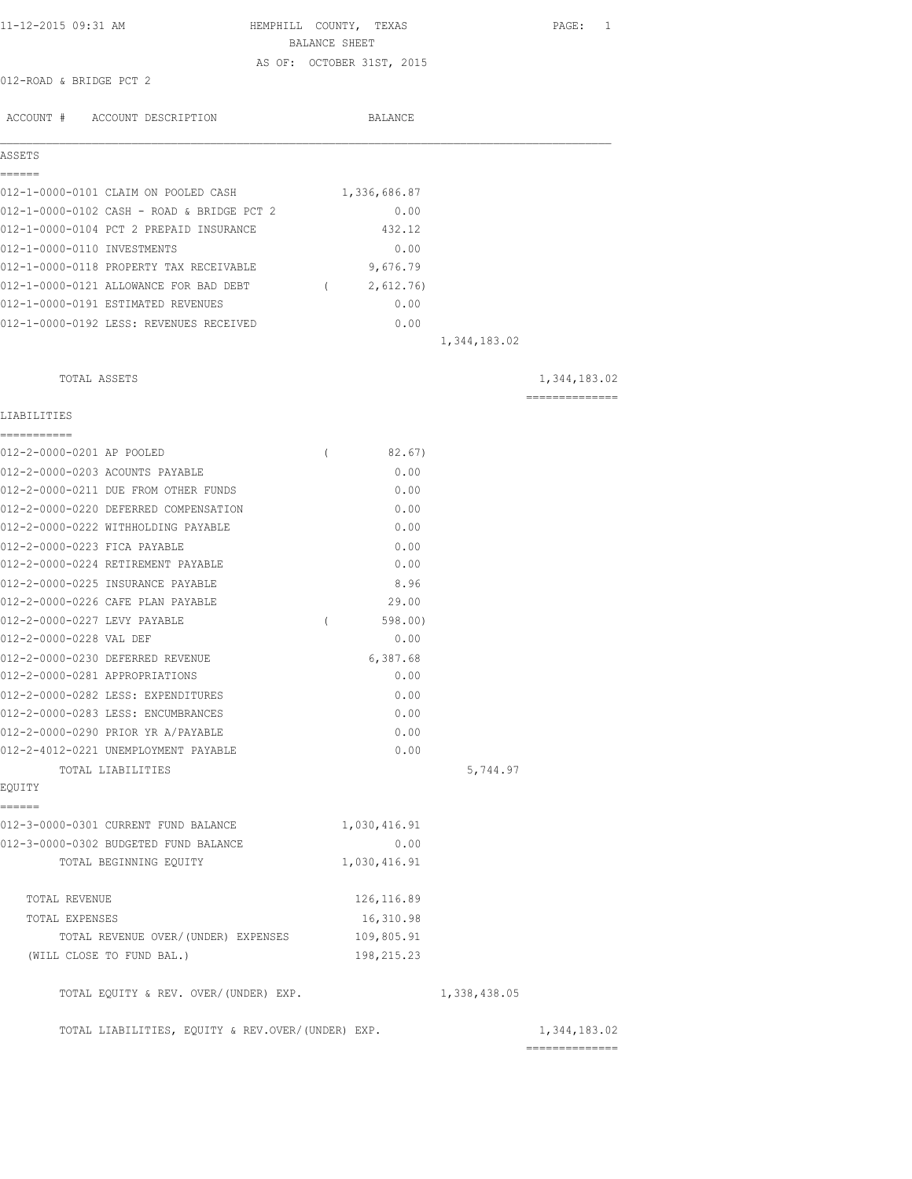| 11-12-2015 09:31 AM                               | HEMPHILL COUNTY, TEXAS<br>BALANCE SHEET |              | PAGE: 1        |
|---------------------------------------------------|-----------------------------------------|--------------|----------------|
|                                                   | AS OF: OCTOBER 31ST, 2015               |              |                |
| 012-ROAD & BRIDGE PCT 2                           |                                         |              |                |
|                                                   |                                         |              |                |
| ACCOUNT # ACCOUNT DESCRIPTION                     | BALANCE                                 |              |                |
|                                                   |                                         |              |                |
| ASSETS                                            |                                         |              |                |
| =====                                             |                                         |              |                |
| 012-1-0000-0101 CLAIM ON POOLED CASH              | 1,336,686.87                            |              |                |
| 012-1-0000-0102 CASH - ROAD & BRIDGE PCT 2        | 0.00                                    |              |                |
| 012-1-0000-0104 PCT 2 PREPAID INSURANCE           | 432.12                                  |              |                |
| 012-1-0000-0110 INVESTMENTS                       | 0.00                                    |              |                |
| 012-1-0000-0118 PROPERTY TAX RECEIVABLE           | 9,676.79                                |              |                |
| 012-1-0000-0121 ALLOWANCE FOR BAD DEBT (2,612.76) |                                         |              |                |
| 012-1-0000-0191 ESTIMATED REVENUES                | 0.00                                    |              |                |
| 012-1-0000-0192 LESS: REVENUES RECEIVED           | 0.00                                    |              |                |
|                                                   |                                         | 1,344,183.02 |                |
|                                                   |                                         |              |                |
| TOTAL ASSETS                                      |                                         |              | 1,344,183.02   |
|                                                   |                                         |              | ============== |
| LIABILITIES                                       |                                         |              |                |
|                                                   |                                         |              |                |
| 012-2-0000-0201 AP POOLED                         | 82.67)<br>$\left($                      |              |                |
| 012-2-0000-0203 ACOUNTS PAYABLE                   | 0.00                                    |              |                |
| 012-2-0000-0211 DUE FROM OTHER FUNDS              | 0.00                                    |              |                |
| 012-2-0000-0220 DEFERRED COMPENSATION             | 0.00                                    |              |                |
| 012-2-0000-0222 WITHHOLDING PAYABLE               | 0.00                                    |              |                |
| 012-2-0000-0223 FICA PAYABLE                      | 0.00                                    |              |                |
| 012-2-0000-0224 RETIREMENT PAYABLE                | 0.00                                    |              |                |
| 012-2-0000-0225 INSURANCE PAYABLE                 | 8.96                                    |              |                |
| 012-2-0000-0226 CAFE PLAN PAYABLE                 | 29.00                                   |              |                |
| 012-2-0000-0227 LEVY PAYABLE                      | 598.00)<br>$\left($                     |              |                |
| 012-2-0000-0228 VAL DEF                           | 0.00                                    |              |                |
| 012-2-0000-0230 DEFERRED REVENUE                  | 6,387.68                                |              |                |
| 012-2-0000-0281 APPROPRIATIONS                    | 0.00                                    |              |                |
| 012-2-0000-0282 LESS: EXPENDITURES                | 0.00                                    |              |                |
| 012-2-0000-0283 LESS: ENCUMBRANCES                | 0.00                                    |              |                |
| 012-2-0000-0290 PRIOR YR A/PAYABLE                | 0.00                                    |              |                |
| 012-2-4012-0221 UNEMPLOYMENT PAYABLE              | 0.00                                    |              |                |
| TOTAL LIABILITIES                                 |                                         | 5,744.97     |                |
| EQUITY                                            |                                         |              |                |
| ======<br>012-3-0000-0301 CURRENT FUND BALANCE    |                                         |              |                |
|                                                   | 1,030,416.91                            |              |                |
| 012-3-0000-0302 BUDGETED FUND BALANCE             | 0.00<br>1,030,416.91                    |              |                |
| TOTAL BEGINNING EQUITY                            |                                         |              |                |
| TOTAL REVENUE                                     | 126, 116.89                             |              |                |
| TOTAL EXPENSES                                    | 16,310.98                               |              |                |
| TOTAL REVENUE OVER/ (UNDER) EXPENSES              | 109,805.91                              |              |                |
| (WILL CLOSE TO FUND BAL.)                         | 198,215.23                              |              |                |
|                                                   |                                         |              |                |
| TOTAL EQUITY & REV. OVER/(UNDER) EXP.             |                                         | 1,338,438.05 |                |
|                                                   |                                         |              |                |
| TOTAL LIABILITIES, EQUITY & REV.OVER/(UNDER) EXP. |                                         |              | 1,344,183.02   |
|                                                   |                                         |              |                |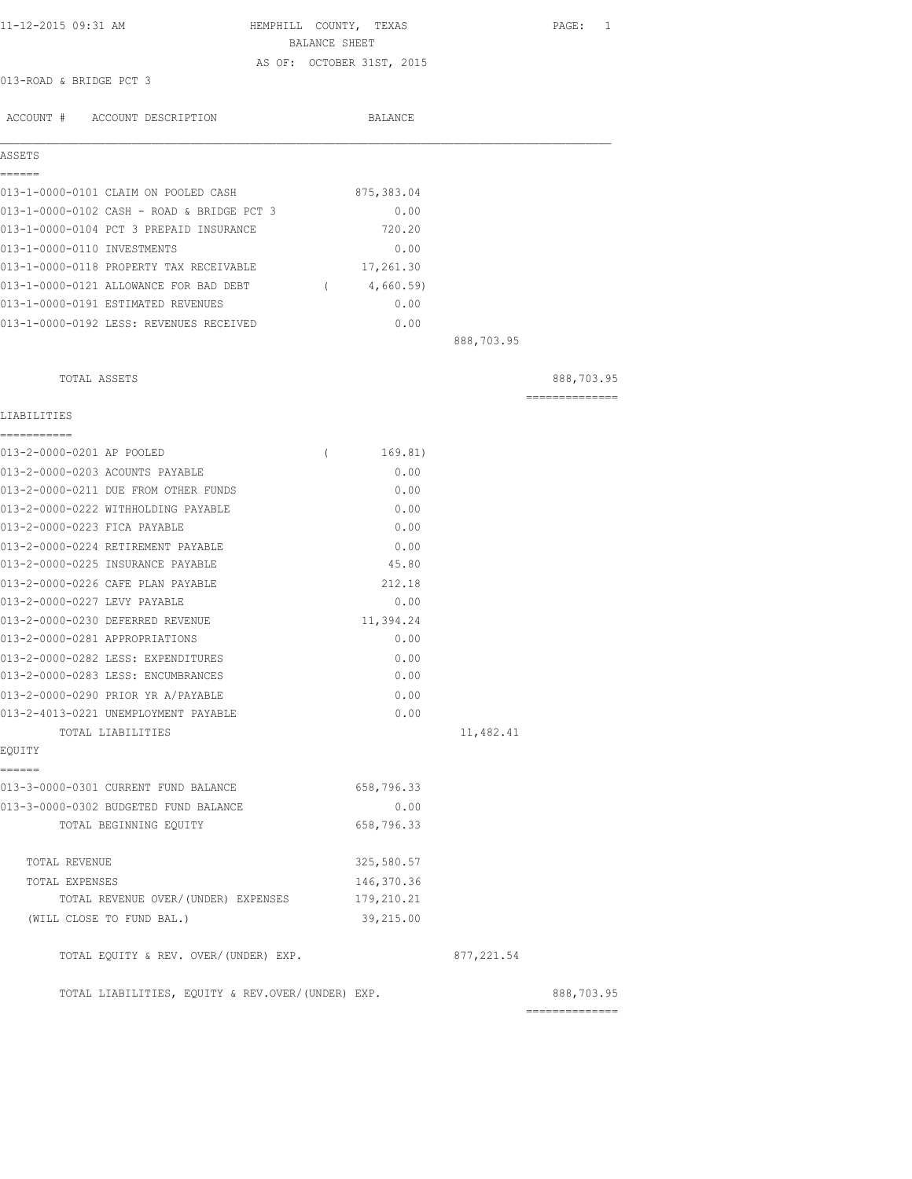| 11-12-2015 09:31 AM                        | BALANCE SHEET | HEMPHILL COUNTY, TEXAS    |            | PAGE:<br>1     |
|--------------------------------------------|---------------|---------------------------|------------|----------------|
|                                            |               | AS OF: OCTOBER 31ST, 2015 |            |                |
| 013-ROAD & BRIDGE PCT 3                    |               |                           |            |                |
| ACCOUNT # ACCOUNT DESCRIPTION              |               | BALANCE                   |            |                |
| ASSETS                                     |               |                           |            |                |
| ======                                     |               |                           |            |                |
| 013-1-0000-0101 CLAIM ON POOLED CASH       |               | 875,383.04                |            |                |
| 013-1-0000-0102 CASH - ROAD & BRIDGE PCT 3 |               | 0.00                      |            |                |
| 013-1-0000-0104 PCT 3 PREPAID INSURANCE    |               | 720.20                    |            |                |
| 013-1-0000-0110 INVESTMENTS                |               | 0.00                      |            |                |
| 013-1-0000-0118 PROPERTY TAX RECEIVABLE    |               | 17,261.30                 |            |                |
| 013-1-0000-0121 ALLOWANCE FOR BAD DEBT     | $\left($      | 4,660.59)                 |            |                |
| 013-1-0000-0191 ESTIMATED REVENUES         |               | 0.00                      |            |                |
| 013-1-0000-0192 LESS: REVENUES RECEIVED    |               | 0.00                      |            |                |
|                                            |               |                           | 888,703.95 |                |
| TOTAL ASSETS                               |               |                           |            | 888,703.95     |
| LIABILITIES                                |               |                           |            | -------------- |
| ===========<br>013-2-0000-0201 AP POOLED   | $\left($      | 169.81)                   |            |                |
| 013-2-0000-0203 ACOUNTS PAYABLE            |               | 0.00                      |            |                |
| 013-2-0000-0211 DUE FROM OTHER FUNDS       |               | 0.00                      |            |                |
| 013-2-0000-0222 WITHHOLDING PAYABLE        |               | 0.00                      |            |                |
| 013-2-0000-0223 FICA PAYABLE               |               | 0.00                      |            |                |
| 013-2-0000-0224 RETIREMENT PAYABLE         |               | 0.00                      |            |                |
| 013-2-0000-0225 INSURANCE PAYABLE          |               | 45.80                     |            |                |
| 013-2-0000-0226 CAFE PLAN PAYABLE          |               | 212.18                    |            |                |

| 013-2-4013-0221 UNEMPLOYMENT PAYABLE  | 0.00       |
|---------------------------------------|------------|
| TOTAL LIABILITIES                     |            |
| EOUITY                                |            |
|                                       |            |
| 013-3-0000-0301 CURRENT FUND BALANCE  | 658,796.33 |
| 013-3-0000-0302 BUDGETED FUND BALANCE | 0.00       |
| TOTAL BEGINNING EOUITY                | 658,796.33 |
|                                       |            |
| TOTAL REVENUE                         | 325,580.57 |

013-2-0000-0227 LEVY PAYABLE 0.00 013-2-0000-0230 DEFERRED REVENUE 11,394.24 013-2-0000-0281 APPROPRIATIONS 0.00 013-2-0000-0282 LESS: EXPENDITURES 0.00 013-2-0000-0283 LESS: ENCUMBRANCES 0.00 013-2-0000-0290 PRIOR YR A/PAYABLE 0.00

 $25,580.57$ TOTAL EXPENSES 146,370.36 TOTAL REVENUE OVER/(UNDER) EXPENSES 179,210.21 (WILL CLOSE TO FUND BAL.) 39,215.00

TOTAL EQUITY & REV. OVER/(UNDER) EXP. 6877,221.54

11,482.41

TOTAL LIABILITIES, EQUITY & REV.OVER/(UNDER) EXP. 688,703.95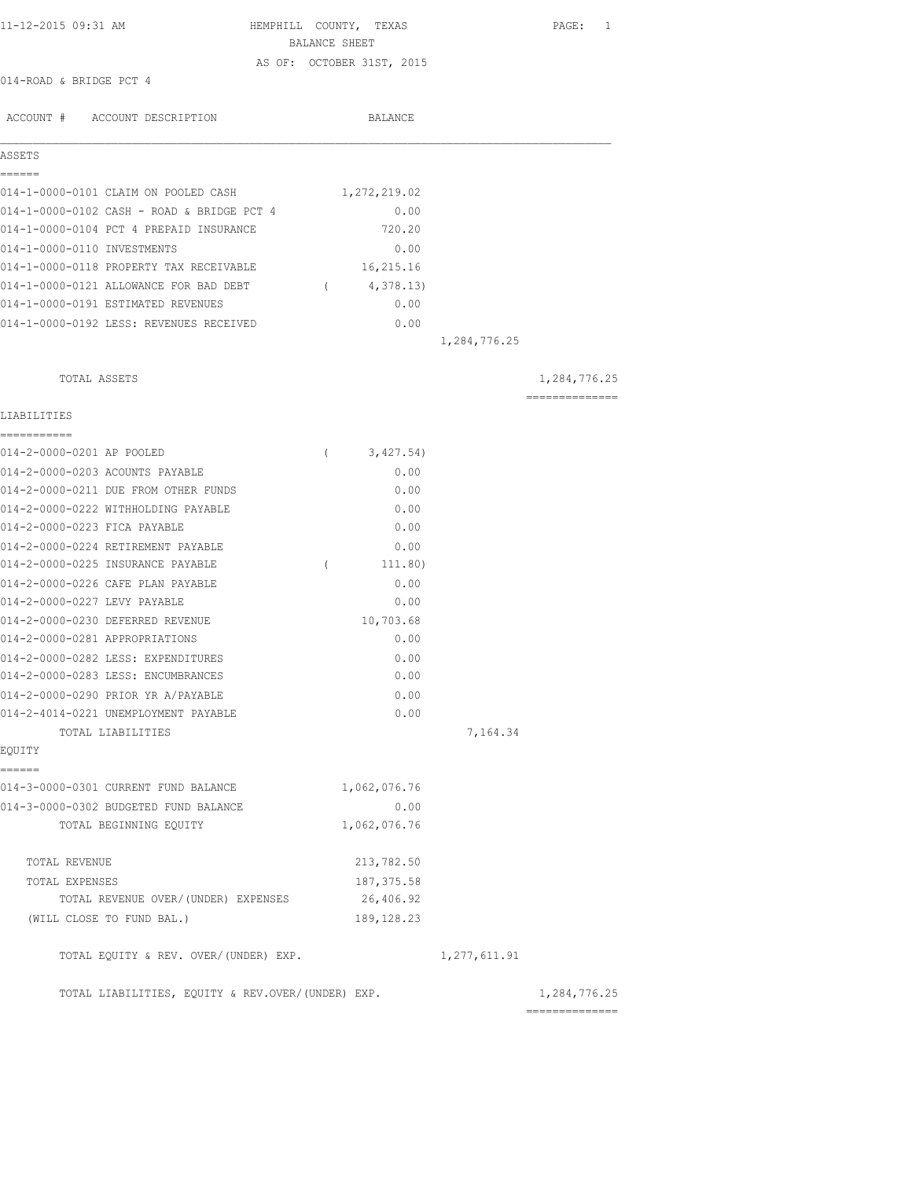| 11-12-2015 09:31 AM                               | HEMPHILL COUNTY, TEXAS    |                | PAGE: 1                        |
|---------------------------------------------------|---------------------------|----------------|--------------------------------|
|                                                   | BALANCE SHEET             |                |                                |
|                                                   | AS OF: OCTOBER 31ST, 2015 |                |                                |
| 014-ROAD & BRIDGE PCT 4                           |                           |                |                                |
| ACCOUNT # ACCOUNT DESCRIPTION                     | BALANCE                   |                |                                |
| ASSETS                                            |                           |                |                                |
| ------<br>014-1-0000-0101 CLAIM ON POOLED CASH    | 1,272,219.02              |                |                                |
| 014-1-0000-0102 CASH - ROAD & BRIDGE PCT 4        | 0.00                      |                |                                |
| 014-1-0000-0104 PCT 4 PREPAID INSURANCE           | 720.20                    |                |                                |
| 014-1-0000-0110 INVESTMENTS                       | 0.00                      |                |                                |
| 014-1-0000-0118 PROPERTY TAX RECEIVABLE           | 16,215.16                 |                |                                |
| 014-1-0000-0121 ALLOWANCE FOR BAD DEBT            | 4,378.13)<br>$\sqrt{2}$   |                |                                |
| 014-1-0000-0191 ESTIMATED REVENUES                | 0.00                      |                |                                |
| 014-1-0000-0192 LESS: REVENUES RECEIVED           | 0.00                      |                |                                |
|                                                   |                           | 1,284,776.25   |                                |
| TOTAL ASSETS                                      |                           |                | 1,284,776.25                   |
| LIABILITIES                                       |                           |                | ==============                 |
| ===========                                       |                           |                |                                |
| 014-2-0000-0201 AP POOLED                         | 3,427.54)<br>$\left($     |                |                                |
| 014-2-0000-0203 ACOUNTS PAYABLE                   | 0.00                      |                |                                |
| 014-2-0000-0211 DUE FROM OTHER FUNDS              | 0.00                      |                |                                |
| 014-2-0000-0222 WITHHOLDING PAYABLE               | 0.00                      |                |                                |
| 014-2-0000-0223 FICA PAYABLE                      | 0.00                      |                |                                |
| 014-2-0000-0224 RETIREMENT PAYABLE                | 0.00                      |                |                                |
| 014-2-0000-0225 INSURANCE PAYABLE                 | $\left($<br>111.80)       |                |                                |
| 014-2-0000-0226 CAFE PLAN PAYABLE                 | 0.00                      |                |                                |
| 014-2-0000-0227 LEVY PAYABLE                      | 0.00                      |                |                                |
| 014-2-0000-0230 DEFERRED REVENUE                  | 10,703.68                 |                |                                |
| 014-2-0000-0281 APPROPRIATIONS                    | 0.00                      |                |                                |
| 014-2-0000-0282 LESS: EXPENDITURES                | 0.00                      |                |                                |
| 014-2-0000-0283 LESS: ENCUMBRANCES                | 0.00                      |                |                                |
| 014-2-0000-0290 PRIOR YR A/PAYABLE                | 0.00                      |                |                                |
| 014-2-4014-0221 UNEMPLOYMENT PAYABLE              | 0.00                      |                |                                |
| TOTAL LIABILITIES<br>EQUITY                       |                           | 7,164.34       |                                |
| ======                                            |                           |                |                                |
| 014-3-0000-0301 CURRENT FUND BALANCE              | 1,062,076.76              |                |                                |
| 014-3-0000-0302 BUDGETED FUND BALANCE             | 0.00                      |                |                                |
| TOTAL BEGINNING EQUITY                            | 1,062,076.76              |                |                                |
| TOTAL REVENUE                                     | 213,782.50                |                |                                |
| TOTAL EXPENSES                                    | 187, 375.58               |                |                                |
| TOTAL REVENUE OVER/(UNDER) EXPENSES               | 26,406.92                 |                |                                |
| (WILL CLOSE TO FUND BAL.)                         | 189, 128.23               |                |                                |
| TOTAL EQUITY & REV. OVER/(UNDER) EXP.             |                           | 1, 277, 611.91 |                                |
| TOTAL LIABILITIES, EQUITY & REV.OVER/(UNDER) EXP. |                           |                | 1,284,776.25<br>============== |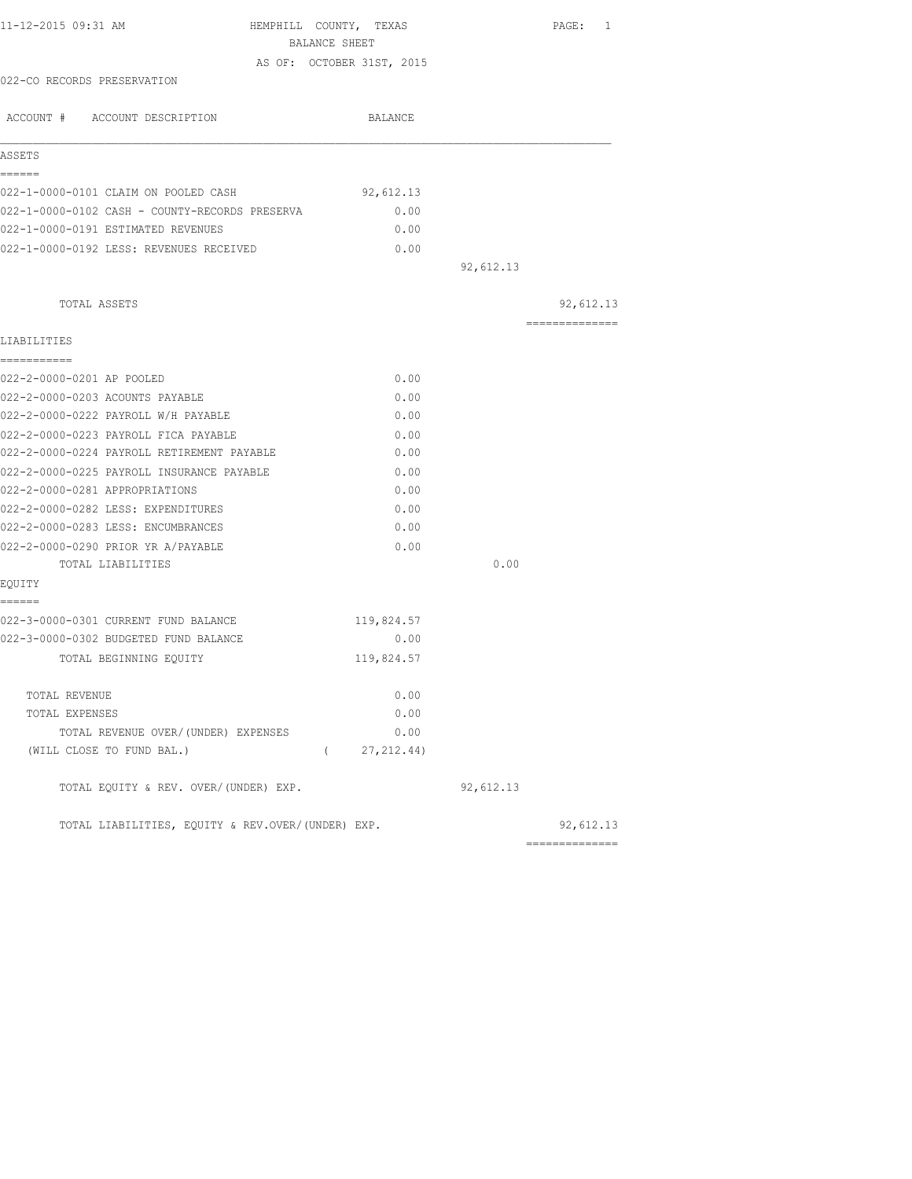| 11-12-2015 09:31 AM                               | HEMPHILL COUNTY, TEXAS    |           | PAGE: 1         |
|---------------------------------------------------|---------------------------|-----------|-----------------|
|                                                   | BALANCE SHEET             |           |                 |
|                                                   | AS OF: OCTOBER 31ST, 2015 |           |                 |
| 022-CO RECORDS PRESERVATION                       |                           |           |                 |
| ACCOUNT # ACCOUNT DESCRIPTION                     | BALANCE                   |           |                 |
| ASSETS                                            |                           |           |                 |
| ======<br>022-1-0000-0101 CLAIM ON POOLED CASH    | 92,612.13                 |           |                 |
| 022-1-0000-0102 CASH - COUNTY-RECORDS PRESERVA    | 0.00                      |           |                 |
| 022-1-0000-0191 ESTIMATED REVENUES                | 0.00                      |           |                 |
| 022-1-0000-0192 LESS: REVENUES RECEIVED           | 0.00                      |           |                 |
|                                                   |                           | 92,612.13 |                 |
| TOTAL ASSETS                                      |                           |           | 92,612.13       |
|                                                   |                           |           | --------------- |
| LIABILITIES<br>===========                        |                           |           |                 |
| 022-2-0000-0201 AP POOLED                         | 0.00                      |           |                 |
| 022-2-0000-0203 ACOUNTS PAYABLE                   | 0.00                      |           |                 |
| 022-2-0000-0222 PAYROLL W/H PAYABLE               | 0.00                      |           |                 |
| 022-2-0000-0223 PAYROLL FICA PAYABLE              | 0.00                      |           |                 |
| 022-2-0000-0224 PAYROLL RETIREMENT PAYABLE        | 0.00                      |           |                 |
| 022-2-0000-0225 PAYROLL INSURANCE PAYABLE         | 0.00                      |           |                 |
| 022-2-0000-0281 APPROPRIATIONS                    | 0.00                      |           |                 |
| 022-2-0000-0282 LESS: EXPENDITURES                | 0.00                      |           |                 |
| 022-2-0000-0283 LESS: ENCUMBRANCES                | 0.00                      |           |                 |
| 022-2-0000-0290 PRIOR YR A/PAYABLE                | 0.00                      |           |                 |
| TOTAL LIABILITIES                                 |                           | 0.00      |                 |
| EOUITY<br>======                                  |                           |           |                 |
| 022-3-0000-0301 CURRENT FUND BALANCE              | 119,824.57                |           |                 |
| 022-3-0000-0302 BUDGETED FUND BALANCE             | 0.00                      |           |                 |
| TOTAL BEGINNING EQUITY                            | 119,824.57                |           |                 |
| TOTAL REVENUE                                     | 0.00                      |           |                 |
| TOTAL EXPENSES                                    | 0.00                      |           |                 |
| TOTAL REVENUE OVER/(UNDER) EXPENSES               | 0.00                      |           |                 |
| (WILL CLOSE TO FUND BAL.)                         | (27, 212, 44)             |           |                 |
| TOTAL EQUITY & REV. OVER/(UNDER) EXP.             |                           | 92,612.13 |                 |
| TOTAL LIABILITIES, EQUITY & REV.OVER/(UNDER) EXP. |                           |           | 92,612.13       |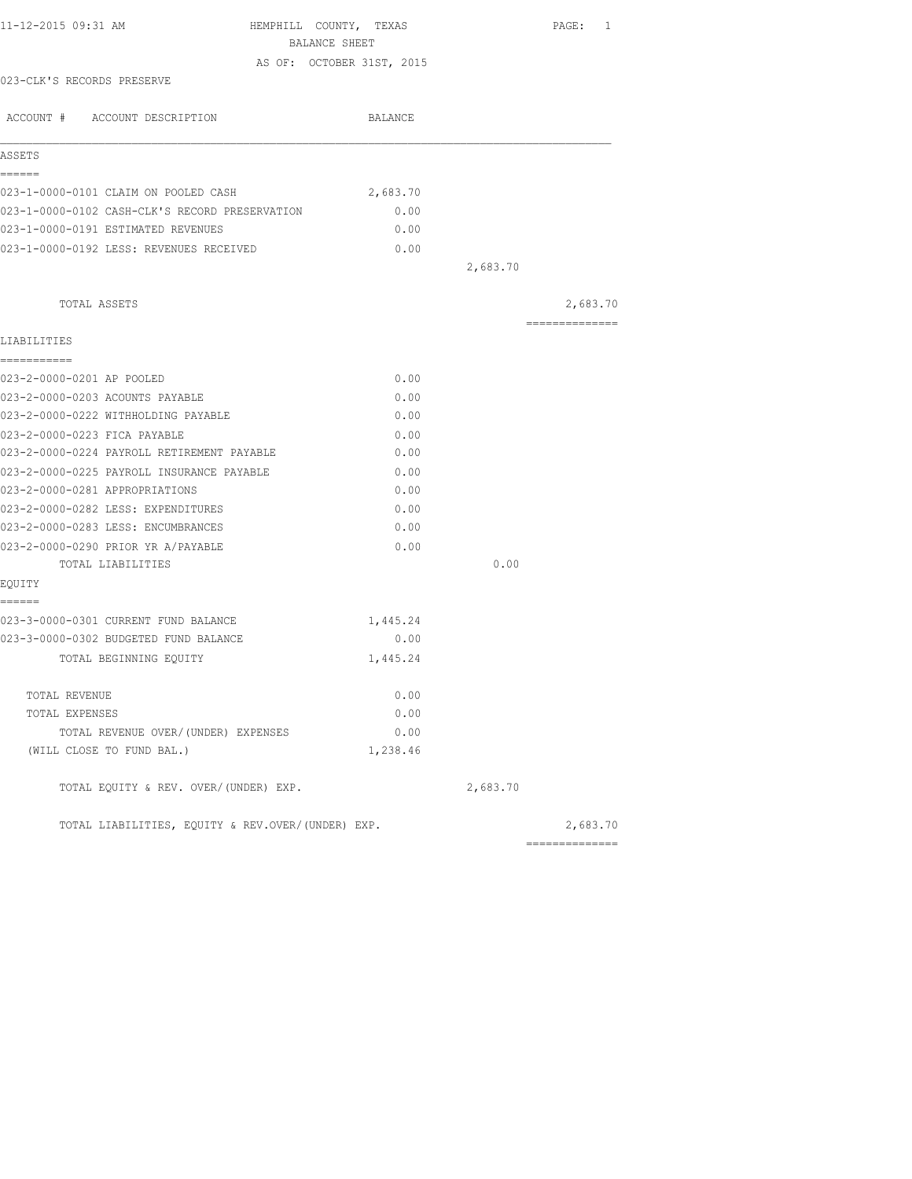| 11-12-2015 09:31 AM                               | HEMPHILL COUNTY, TEXAS    |          | PAGE: 1                    |
|---------------------------------------------------|---------------------------|----------|----------------------------|
|                                                   | BALANCE SHEET             |          |                            |
| 023-CLK'S RECORDS PRESERVE                        | AS OF: OCTOBER 31ST, 2015 |          |                            |
|                                                   |                           |          |                            |
| ACCOUNT # ACCOUNT DESCRIPTION                     | BALANCE                   |          |                            |
|                                                   |                           |          |                            |
| ASSETS<br>======                                  |                           |          |                            |
| 023-1-0000-0101 CLAIM ON POOLED CASH              | 2,683.70                  |          |                            |
| 023-1-0000-0102 CASH-CLK'S RECORD PRESERVATION    | 0.00                      |          |                            |
| 023-1-0000-0191 ESTIMATED REVENUES                | 0.00                      |          |                            |
| 023-1-0000-0192 LESS: REVENUES RECEIVED           | 0.00                      |          |                            |
|                                                   |                           | 2,683.70 |                            |
|                                                   |                           |          |                            |
| TOTAL ASSETS                                      |                           |          | 2,683.70<br>============== |
| LIABILITIES                                       |                           |          |                            |
| ------------                                      |                           |          |                            |
| 023-2-0000-0201 AP POOLED                         | 0.00                      |          |                            |
| 023-2-0000-0203 ACOUNTS PAYABLE                   | 0.00                      |          |                            |
| 023-2-0000-0222 WITHHOLDING PAYABLE               | 0.00                      |          |                            |
| 023-2-0000-0223 FICA PAYABLE                      | 0.00                      |          |                            |
| 023-2-0000-0224 PAYROLL RETIREMENT PAYABLE        | 0.00                      |          |                            |
| 023-2-0000-0225 PAYROLL INSURANCE PAYABLE         | 0.00                      |          |                            |
| 023-2-0000-0281 APPROPRIATIONS                    | 0.00                      |          |                            |
| 023-2-0000-0282 LESS: EXPENDITURES                | 0.00                      |          |                            |
| 023-2-0000-0283 LESS: ENCUMBRANCES                | 0.00                      |          |                            |
| 023-2-0000-0290 PRIOR YR A/PAYABLE                | 0.00                      |          |                            |
| TOTAL LIABILITIES                                 |                           | 0.00     |                            |
| EQUITY                                            |                           |          |                            |
| ------<br>023-3-0000-0301 CURRENT FUND BALANCE    | 1,445.24                  |          |                            |
| 023-3-0000-0302 BUDGETED FUND BALANCE             | 0.00                      |          |                            |
| TOTAL BEGINNING EQUITY                            | 1,445.24                  |          |                            |
|                                                   |                           |          |                            |
| TOTAL REVENUE                                     | 0.00                      |          |                            |
| TOTAL EXPENSES                                    | 0.00                      |          |                            |
| TOTAL REVENUE OVER/(UNDER) EXPENSES               | 0.00                      |          |                            |
| (WILL CLOSE TO FUND BAL.)                         | 1,238.46                  |          |                            |
| TOTAL EQUITY & REV. OVER/(UNDER) EXP.             |                           | 2,683.70 |                            |
| TOTAL LIABILITIES, EOUITY & REV.OVER/(UNDER) EXP. |                           |          | 2,683.70                   |
|                                                   |                           |          | ---------------            |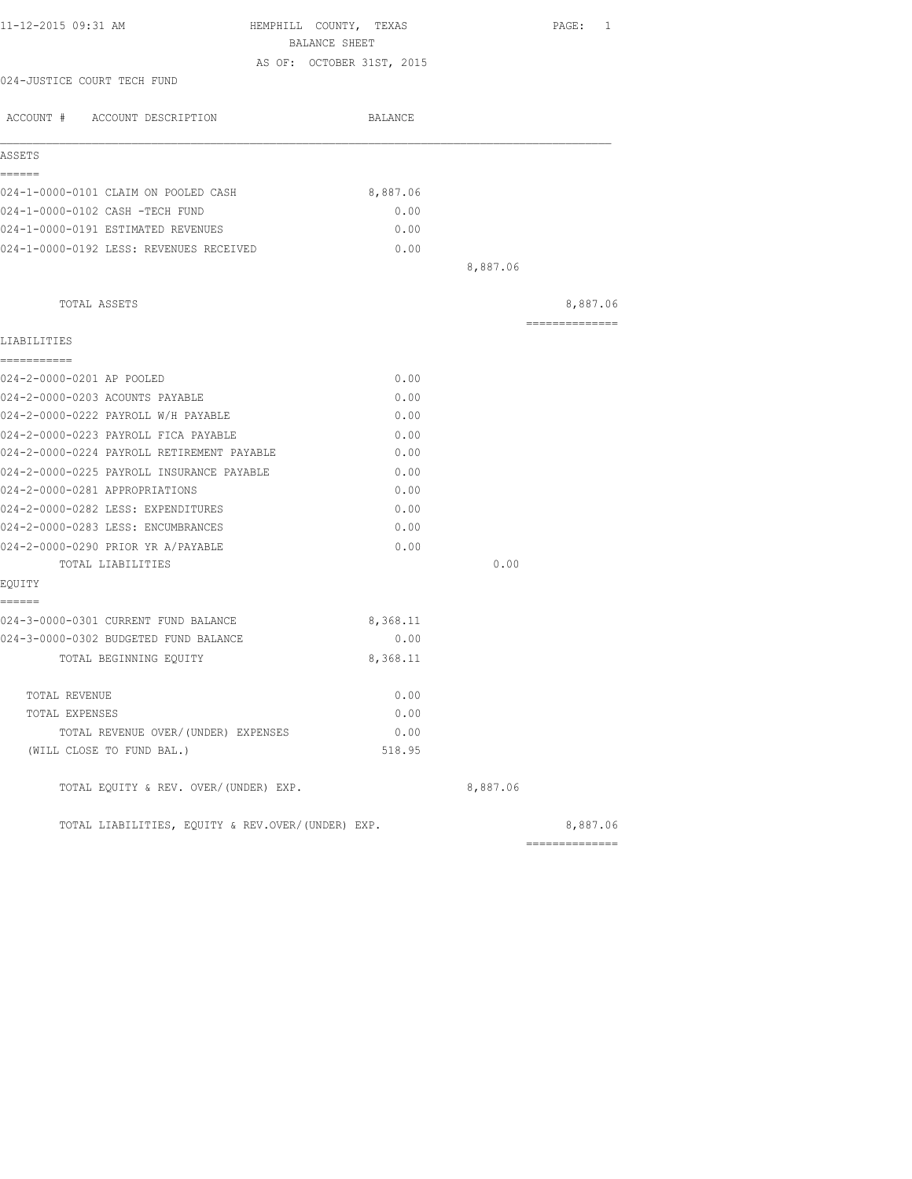| 11-12-2015 09:31 AM                                                         | HEMPHILL COUNTY, TEXAS    |          | PAGE: 1        |
|-----------------------------------------------------------------------------|---------------------------|----------|----------------|
|                                                                             | BALANCE SHEET             |          |                |
|                                                                             | AS OF: OCTOBER 31ST, 2015 |          |                |
| 024-JUSTICE COURT TECH FUND                                                 |                           |          |                |
| ACCOUNT # ACCOUNT DESCRIPTION                                               | BALANCE                   |          |                |
| ASSETS                                                                      |                           |          |                |
| ======                                                                      |                           |          |                |
| 024-1-0000-0101 CLAIM ON POOLED CASH                                        | 8,887.06                  |          |                |
| 024-1-0000-0102 CASH -TECH FUND                                             | 0.00                      |          |                |
| 024-1-0000-0191 ESTIMATED REVENUES                                          | 0.00                      |          |                |
| 024-1-0000-0192 LESS: REVENUES RECEIVED                                     | 0.00                      |          |                |
|                                                                             |                           | 8,887.06 |                |
| TOTAL ASSETS                                                                |                           |          | 8,887.06       |
| LIABILITIES                                                                 |                           |          | ============== |
| ===========                                                                 |                           |          |                |
| 024-2-0000-0201 AP POOLED                                                   | 0.00                      |          |                |
| 024-2-0000-0203 ACOUNTS PAYABLE                                             | 0.00                      |          |                |
| 024-2-0000-0222 PAYROLL W/H PAYABLE                                         | 0.00                      |          |                |
| 024-2-0000-0223 PAYROLL FICA PAYABLE                                        | 0.00                      |          |                |
| 024-2-0000-0224 PAYROLL RETIREMENT PAYABLE                                  | 0.00                      |          |                |
| 024-2-0000-0225 PAYROLL INSURANCE PAYABLE<br>024-2-0000-0281 APPROPRIATIONS | 0.00<br>0.00              |          |                |
|                                                                             |                           |          |                |
| 024-2-0000-0282 LESS: EXPENDITURES<br>024-2-0000-0283 LESS: ENCUMBRANCES    | 0.00<br>0.00              |          |                |
|                                                                             |                           |          |                |
| 024-2-0000-0290 PRIOR YR A/PAYABLE<br>TOTAL LIABILITIES                     | 0.00                      | 0.00     |                |
| EQUITY                                                                      |                           |          |                |
| ======                                                                      |                           |          |                |
| 024-3-0000-0301 CURRENT FUND BALANCE                                        | 8,368.11                  |          |                |
| 024-3-0000-0302 BUDGETED FUND BALANCE                                       | 0.00                      |          |                |
| TOTAL BEGINNING EQUITY                                                      | 8,368.11                  |          |                |
| TOTAL REVENUE                                                               | 0.00                      |          |                |
| TOTAL EXPENSES                                                              | 0.00                      |          |                |
| TOTAL REVENUE OVER/(UNDER) EXPENSES                                         | 0.00                      |          |                |
| (WILL CLOSE TO FUND BAL.)                                                   | 518.95                    |          |                |
| TOTAL EQUITY & REV. OVER/(UNDER) EXP.                                       |                           | 8,887.06 |                |
| TOTAL LIABILITIES, EQUITY & REV.OVER/(UNDER) EXP.                           |                           |          | 8,887.06       |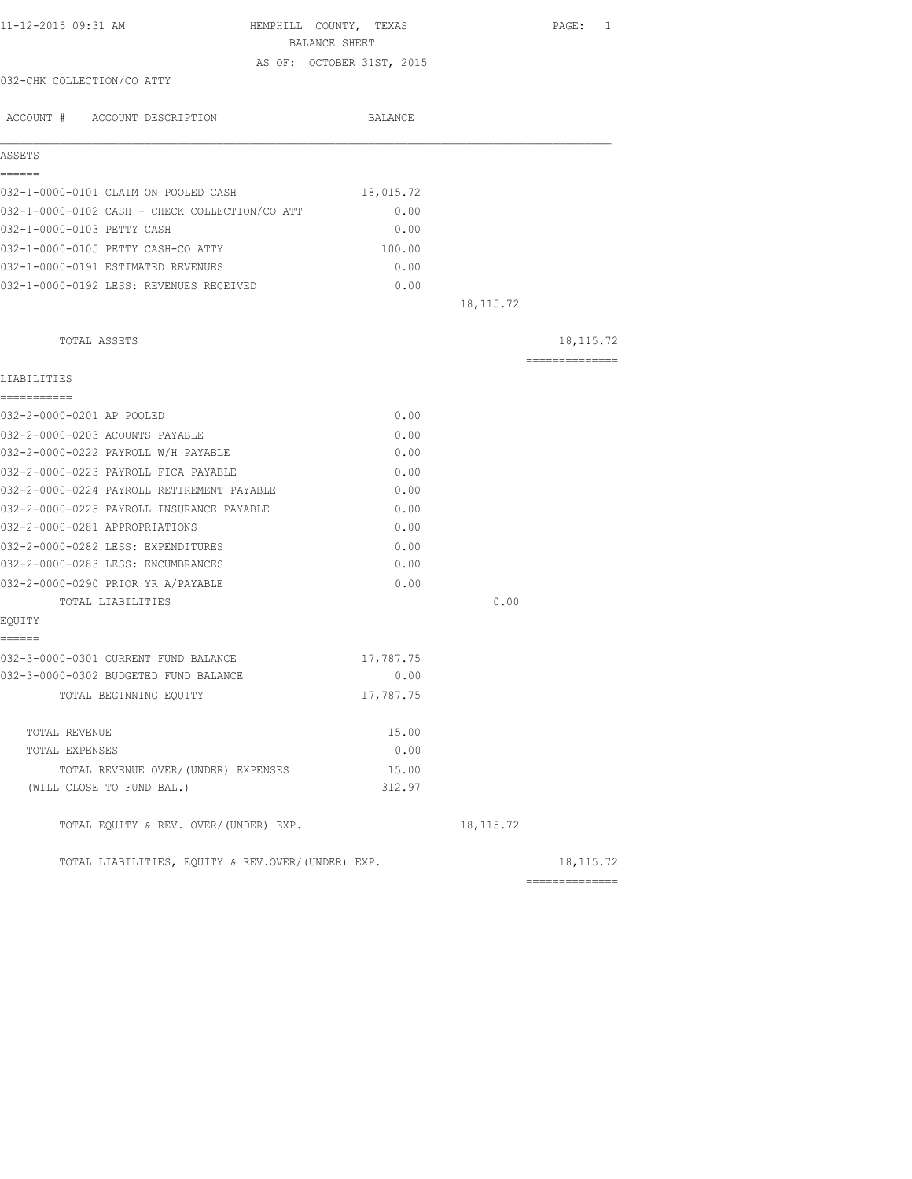| 11-12-2015 09:31 AM                                                      | HEMPHILL COUNTY, TEXAS    |            | PAGE: 1        |
|--------------------------------------------------------------------------|---------------------------|------------|----------------|
|                                                                          | BALANCE SHEET             |            |                |
| 032-CHK COLLECTION/CO ATTY                                               | AS OF: OCTOBER 31ST, 2015 |            |                |
|                                                                          |                           |            |                |
| ACCOUNT # ACCOUNT DESCRIPTION                                            | BALANCE                   |            |                |
|                                                                          |                           |            |                |
| ASSETS                                                                   |                           |            |                |
| ======                                                                   |                           |            |                |
| 032-1-0000-0101 CLAIM ON POOLED CASH                                     | 18,015.72                 |            |                |
| 032-1-0000-0102 CASH - CHECK COLLECTION/CO ATT                           | 0.00                      |            |                |
| 032-1-0000-0103 PETTY CASH                                               | 0.00                      |            |                |
| 032-1-0000-0105 PETTY CASH-CO ATTY<br>032-1-0000-0191 ESTIMATED REVENUES | 100.00<br>0.00            |            |                |
| 032-1-0000-0192 LESS: REVENUES RECEIVED                                  |                           |            |                |
|                                                                          | 0.00                      | 18, 115.72 |                |
|                                                                          |                           |            |                |
| TOTAL ASSETS                                                             |                           |            | 18, 115. 72    |
| LIABILITIES                                                              |                           |            | -------------- |
| -----------                                                              |                           |            |                |
| 032-2-0000-0201 AP POOLED                                                | 0.00                      |            |                |
| 032-2-0000-0203 ACOUNTS PAYABLE                                          | 0.00                      |            |                |
| 032-2-0000-0222 PAYROLL W/H PAYABLE                                      | 0.00                      |            |                |
| 032-2-0000-0223 PAYROLL FICA PAYABLE                                     | 0.00                      |            |                |
| 032-2-0000-0224 PAYROLL RETIREMENT PAYABLE                               | 0.00                      |            |                |
| 032-2-0000-0225 PAYROLL INSURANCE PAYABLE                                | 0.00                      |            |                |
| 032-2-0000-0281 APPROPRIATIONS                                           | 0.00                      |            |                |
| 032-2-0000-0282 LESS: EXPENDITURES                                       | 0.00                      |            |                |
| 032-2-0000-0283 LESS: ENCUMBRANCES                                       | 0.00                      |            |                |
| 032-2-0000-0290 PRIOR YR A/PAYABLE                                       | 0.00                      |            |                |
| TOTAL LIABILITIES                                                        |                           | 0.00       |                |
| EQUITY<br>======                                                         |                           |            |                |
| 032-3-0000-0301 CURRENT FUND BALANCE                                     | 17,787.75                 |            |                |
| 032-3-0000-0302 BUDGETED FUND BALANCE                                    | 0.00                      |            |                |
| TOTAL BEGINNING EQUITY                                                   | 17,787.75                 |            |                |
|                                                                          |                           |            |                |
| TOTAL REVENUE                                                            | 15.00                     |            |                |
| TOTAL EXPENSES                                                           | 0.00                      |            |                |
| TOTAL REVENUE OVER/(UNDER) EXPENSES                                      | 15.00                     |            |                |
| (WILL CLOSE TO FUND BAL.)                                                | 312.97                    |            |                |
| TOTAL EQUITY & REV. OVER/(UNDER) EXP.                                    |                           | 18, 115.72 |                |
| TOTAL LIABILITIES, EQUITY & REV.OVER/(UNDER) EXP.                        |                           |            | 18, 115. 72    |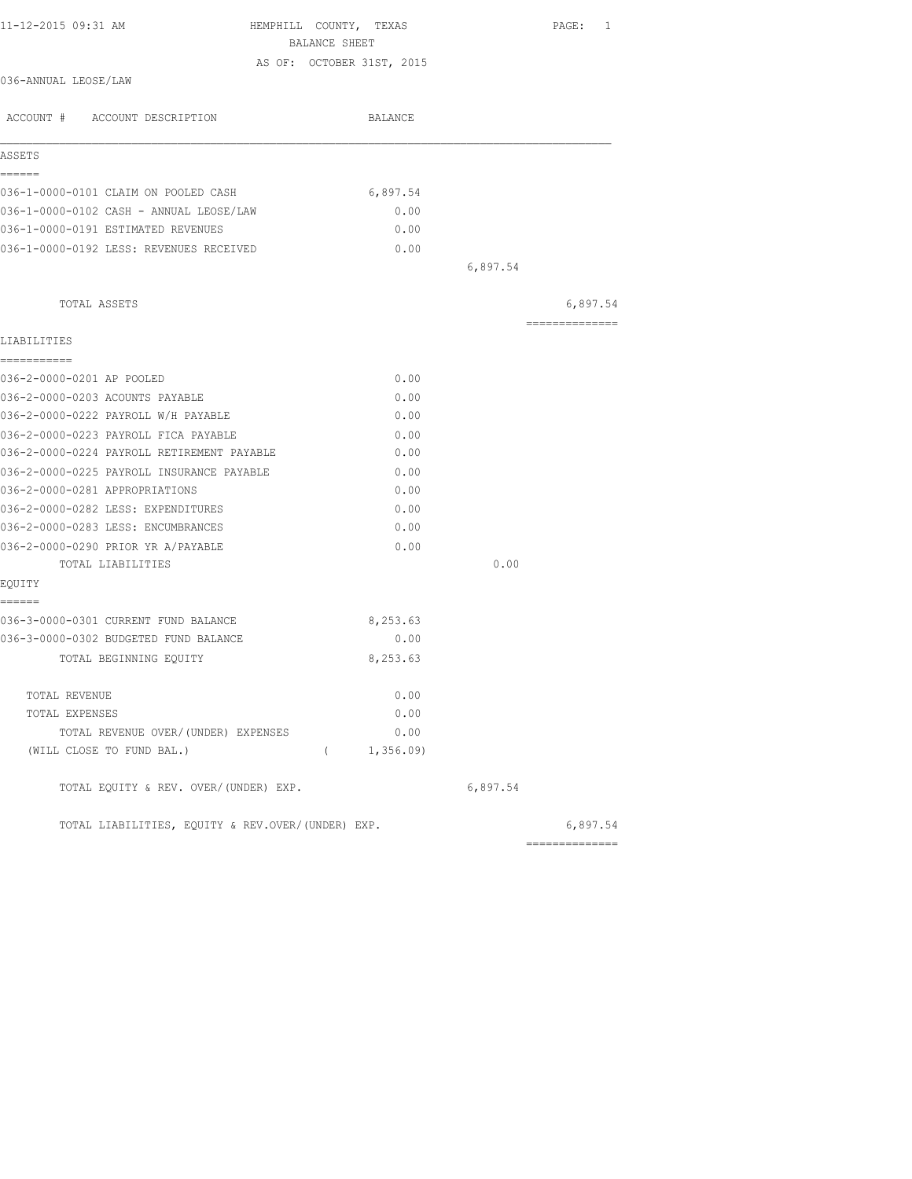| AS OF: OCTOBER 31ST, 2015<br>036-ANNUAL LEOSE/LAW<br>ACCOUNT # ACCOUNT DESCRIPTION<br>BALANCE<br>ASSETS<br>======<br>036-1-0000-0101 CLAIM ON POOLED CASH<br>6,897.54<br>036-1-0000-0102 CASH - ANNUAL LEOSE/LAW<br>0.00<br>036-1-0000-0191 ESTIMATED REVENUES<br>0.00<br>036-1-0000-0192 LESS: REVENUES RECEIVED<br>0.00<br>6,897.54<br>TOTAL ASSETS<br>LIABILITIES<br>===========<br>036-2-0000-0201 AP POOLED<br>0.00<br>036-2-0000-0203 ACOUNTS PAYABLE<br>0.00<br>036-2-0000-0222 PAYROLL W/H PAYABLE<br>0.00<br>036-2-0000-0223 PAYROLL FICA PAYABLE<br>0.00<br>036-2-0000-0224 PAYROLL RETIREMENT PAYABLE<br>0.00<br>036-2-0000-0225 PAYROLL INSURANCE PAYABLE<br>0.00<br>036-2-0000-0281 APPROPRIATIONS<br>0.00<br>036-2-0000-0282 LESS: EXPENDITURES<br>0.00<br>036-2-0000-0283 LESS: ENCUMBRANCES<br>0.00<br>0.00<br>036-2-0000-0290 PRIOR YR A/PAYABLE<br>0.00<br>TOTAL LIABILITIES<br>EQUITY<br>------<br>036-3-0000-0301 CURRENT FUND BALANCE<br>8,253.63<br>036-3-0000-0302 BUDGETED FUND BALANCE<br>0.00<br>TOTAL BEGINNING EQUITY<br>8,253.63<br>0.00<br>TOTAL REVENUE<br>0.00<br>TOTAL EXPENSES<br>TOTAL REVENUE OVER/(UNDER) EXPENSES<br>0.00<br>(WILL CLOSE TO FUND BAL.)<br>(1, 356.09)<br>6,897.54<br>TOTAL EQUITY & REV. OVER/(UNDER) EXP. | 11-12-2015 09:31 AM | HEMPHILL COUNTY, TEXAS<br>BALANCE SHEET |  | PAGE: 1        |
|------------------------------------------------------------------------------------------------------------------------------------------------------------------------------------------------------------------------------------------------------------------------------------------------------------------------------------------------------------------------------------------------------------------------------------------------------------------------------------------------------------------------------------------------------------------------------------------------------------------------------------------------------------------------------------------------------------------------------------------------------------------------------------------------------------------------------------------------------------------------------------------------------------------------------------------------------------------------------------------------------------------------------------------------------------------------------------------------------------------------------------------------------------------------------------------------------------------------------------------------------------------|---------------------|-----------------------------------------|--|----------------|
|                                                                                                                                                                                                                                                                                                                                                                                                                                                                                                                                                                                                                                                                                                                                                                                                                                                                                                                                                                                                                                                                                                                                                                                                                                                                  |                     |                                         |  |                |
|                                                                                                                                                                                                                                                                                                                                                                                                                                                                                                                                                                                                                                                                                                                                                                                                                                                                                                                                                                                                                                                                                                                                                                                                                                                                  |                     |                                         |  |                |
|                                                                                                                                                                                                                                                                                                                                                                                                                                                                                                                                                                                                                                                                                                                                                                                                                                                                                                                                                                                                                                                                                                                                                                                                                                                                  |                     |                                         |  |                |
|                                                                                                                                                                                                                                                                                                                                                                                                                                                                                                                                                                                                                                                                                                                                                                                                                                                                                                                                                                                                                                                                                                                                                                                                                                                                  |                     |                                         |  |                |
|                                                                                                                                                                                                                                                                                                                                                                                                                                                                                                                                                                                                                                                                                                                                                                                                                                                                                                                                                                                                                                                                                                                                                                                                                                                                  |                     |                                         |  |                |
|                                                                                                                                                                                                                                                                                                                                                                                                                                                                                                                                                                                                                                                                                                                                                                                                                                                                                                                                                                                                                                                                                                                                                                                                                                                                  |                     |                                         |  |                |
|                                                                                                                                                                                                                                                                                                                                                                                                                                                                                                                                                                                                                                                                                                                                                                                                                                                                                                                                                                                                                                                                                                                                                                                                                                                                  |                     |                                         |  |                |
|                                                                                                                                                                                                                                                                                                                                                                                                                                                                                                                                                                                                                                                                                                                                                                                                                                                                                                                                                                                                                                                                                                                                                                                                                                                                  |                     |                                         |  |                |
|                                                                                                                                                                                                                                                                                                                                                                                                                                                                                                                                                                                                                                                                                                                                                                                                                                                                                                                                                                                                                                                                                                                                                                                                                                                                  |                     |                                         |  |                |
|                                                                                                                                                                                                                                                                                                                                                                                                                                                                                                                                                                                                                                                                                                                                                                                                                                                                                                                                                                                                                                                                                                                                                                                                                                                                  |                     |                                         |  |                |
|                                                                                                                                                                                                                                                                                                                                                                                                                                                                                                                                                                                                                                                                                                                                                                                                                                                                                                                                                                                                                                                                                                                                                                                                                                                                  |                     |                                         |  |                |
|                                                                                                                                                                                                                                                                                                                                                                                                                                                                                                                                                                                                                                                                                                                                                                                                                                                                                                                                                                                                                                                                                                                                                                                                                                                                  |                     |                                         |  | 6,897.54       |
|                                                                                                                                                                                                                                                                                                                                                                                                                                                                                                                                                                                                                                                                                                                                                                                                                                                                                                                                                                                                                                                                                                                                                                                                                                                                  |                     |                                         |  | -------------- |
|                                                                                                                                                                                                                                                                                                                                                                                                                                                                                                                                                                                                                                                                                                                                                                                                                                                                                                                                                                                                                                                                                                                                                                                                                                                                  |                     |                                         |  |                |
|                                                                                                                                                                                                                                                                                                                                                                                                                                                                                                                                                                                                                                                                                                                                                                                                                                                                                                                                                                                                                                                                                                                                                                                                                                                                  |                     |                                         |  |                |
|                                                                                                                                                                                                                                                                                                                                                                                                                                                                                                                                                                                                                                                                                                                                                                                                                                                                                                                                                                                                                                                                                                                                                                                                                                                                  |                     |                                         |  |                |
|                                                                                                                                                                                                                                                                                                                                                                                                                                                                                                                                                                                                                                                                                                                                                                                                                                                                                                                                                                                                                                                                                                                                                                                                                                                                  |                     |                                         |  |                |
|                                                                                                                                                                                                                                                                                                                                                                                                                                                                                                                                                                                                                                                                                                                                                                                                                                                                                                                                                                                                                                                                                                                                                                                                                                                                  |                     |                                         |  |                |
|                                                                                                                                                                                                                                                                                                                                                                                                                                                                                                                                                                                                                                                                                                                                                                                                                                                                                                                                                                                                                                                                                                                                                                                                                                                                  |                     |                                         |  |                |
|                                                                                                                                                                                                                                                                                                                                                                                                                                                                                                                                                                                                                                                                                                                                                                                                                                                                                                                                                                                                                                                                                                                                                                                                                                                                  |                     |                                         |  |                |
|                                                                                                                                                                                                                                                                                                                                                                                                                                                                                                                                                                                                                                                                                                                                                                                                                                                                                                                                                                                                                                                                                                                                                                                                                                                                  |                     |                                         |  |                |
|                                                                                                                                                                                                                                                                                                                                                                                                                                                                                                                                                                                                                                                                                                                                                                                                                                                                                                                                                                                                                                                                                                                                                                                                                                                                  |                     |                                         |  |                |
|                                                                                                                                                                                                                                                                                                                                                                                                                                                                                                                                                                                                                                                                                                                                                                                                                                                                                                                                                                                                                                                                                                                                                                                                                                                                  |                     |                                         |  |                |
|                                                                                                                                                                                                                                                                                                                                                                                                                                                                                                                                                                                                                                                                                                                                                                                                                                                                                                                                                                                                                                                                                                                                                                                                                                                                  |                     |                                         |  |                |
|                                                                                                                                                                                                                                                                                                                                                                                                                                                                                                                                                                                                                                                                                                                                                                                                                                                                                                                                                                                                                                                                                                                                                                                                                                                                  |                     |                                         |  |                |
|                                                                                                                                                                                                                                                                                                                                                                                                                                                                                                                                                                                                                                                                                                                                                                                                                                                                                                                                                                                                                                                                                                                                                                                                                                                                  |                     |                                         |  |                |
|                                                                                                                                                                                                                                                                                                                                                                                                                                                                                                                                                                                                                                                                                                                                                                                                                                                                                                                                                                                                                                                                                                                                                                                                                                                                  |                     |                                         |  |                |
|                                                                                                                                                                                                                                                                                                                                                                                                                                                                                                                                                                                                                                                                                                                                                                                                                                                                                                                                                                                                                                                                                                                                                                                                                                                                  |                     |                                         |  |                |
|                                                                                                                                                                                                                                                                                                                                                                                                                                                                                                                                                                                                                                                                                                                                                                                                                                                                                                                                                                                                                                                                                                                                                                                                                                                                  |                     |                                         |  |                |
|                                                                                                                                                                                                                                                                                                                                                                                                                                                                                                                                                                                                                                                                                                                                                                                                                                                                                                                                                                                                                                                                                                                                                                                                                                                                  |                     |                                         |  |                |
|                                                                                                                                                                                                                                                                                                                                                                                                                                                                                                                                                                                                                                                                                                                                                                                                                                                                                                                                                                                                                                                                                                                                                                                                                                                                  |                     |                                         |  |                |
|                                                                                                                                                                                                                                                                                                                                                                                                                                                                                                                                                                                                                                                                                                                                                                                                                                                                                                                                                                                                                                                                                                                                                                                                                                                                  |                     |                                         |  |                |
|                                                                                                                                                                                                                                                                                                                                                                                                                                                                                                                                                                                                                                                                                                                                                                                                                                                                                                                                                                                                                                                                                                                                                                                                                                                                  |                     |                                         |  |                |
|                                                                                                                                                                                                                                                                                                                                                                                                                                                                                                                                                                                                                                                                                                                                                                                                                                                                                                                                                                                                                                                                                                                                                                                                                                                                  |                     |                                         |  |                |
| TOTAL LIABILITIES, EQUITY & REV.OVER/(UNDER) EXP.                                                                                                                                                                                                                                                                                                                                                                                                                                                                                                                                                                                                                                                                                                                                                                                                                                                                                                                                                                                                                                                                                                                                                                                                                |                     |                                         |  | 6,897.54       |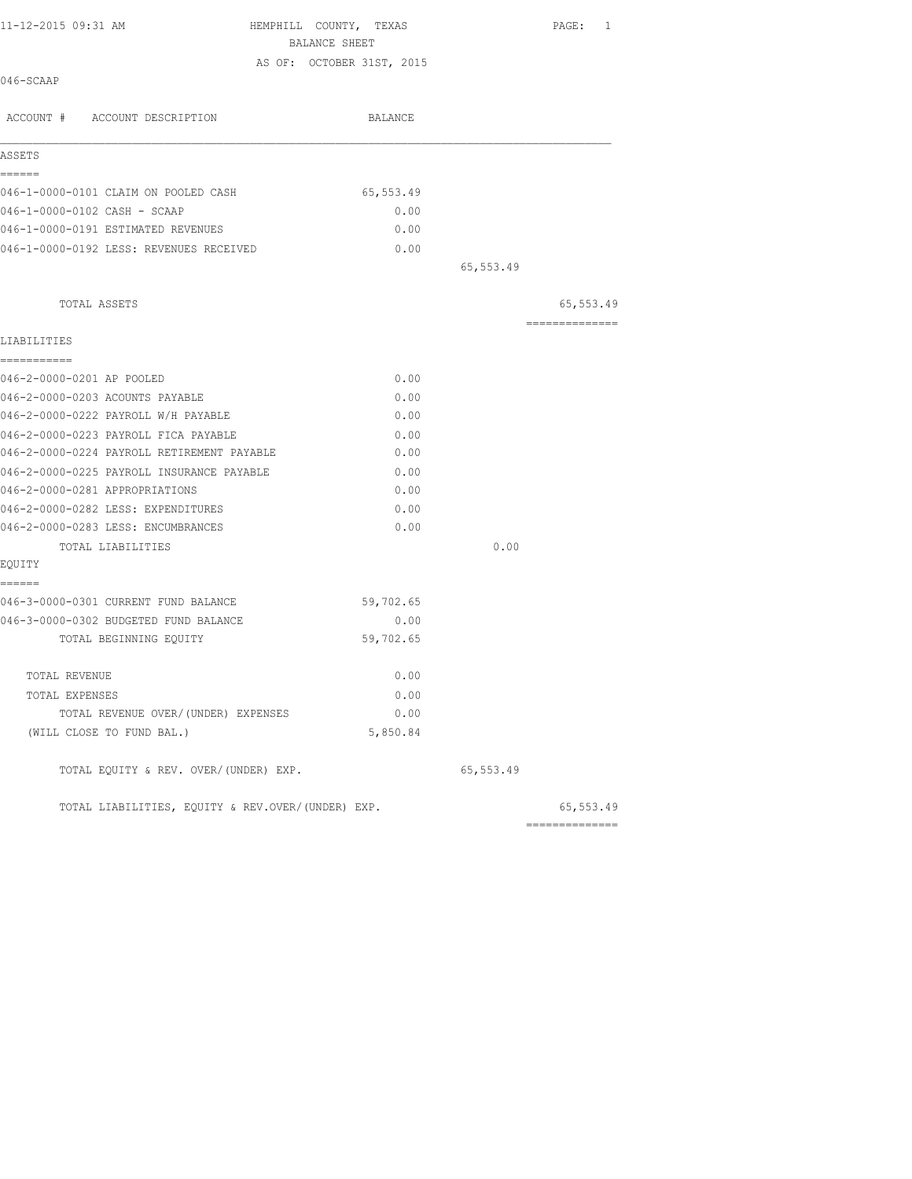| 11-12-2015 09:31 AM                            | HEMPHILL COUNTY, TEXAS<br>BALANCE SHEET |           | PAGE: 1        |
|------------------------------------------------|-----------------------------------------|-----------|----------------|
|                                                | AS OF: OCTOBER 31ST, 2015               |           |                |
| 046-SCAAP                                      |                                         |           |                |
| ACCOUNT # ACCOUNT DESCRIPTION                  | BALANCE                                 |           |                |
| ASSETS                                         |                                         |           |                |
| ------                                         |                                         |           |                |
| 046-1-0000-0101 CLAIM ON POOLED CASH           | 65,553.49                               |           |                |
| 046-1-0000-0102 CASH - SCAAP                   | 0.00                                    |           |                |
| 046-1-0000-0191 ESTIMATED REVENUES             | 0.00                                    |           |                |
| 046-1-0000-0192 LESS: REVENUES RECEIVED        | 0.00                                    |           |                |
|                                                |                                         | 65,553.49 |                |
| TOTAL ASSETS                                   |                                         |           | 65,553.49      |
| LIABILITIES                                    |                                         |           | ============== |
| ===========<br>046-2-0000-0201 AP POOLED       | 0.00                                    |           |                |
| 046-2-0000-0203 ACOUNTS PAYABLE                | 0.00                                    |           |                |
| 046-2-0000-0222 PAYROLL W/H PAYABLE            | 0.00                                    |           |                |
| 046-2-0000-0223 PAYROLL FICA PAYABLE           | 0.00                                    |           |                |
| 046-2-0000-0224 PAYROLL RETIREMENT PAYABLE     | 0.00                                    |           |                |
| 046-2-0000-0225 PAYROLL INSURANCE PAYABLE      | 0.00                                    |           |                |
| 046-2-0000-0281 APPROPRIATIONS                 | 0.00                                    |           |                |
| 046-2-0000-0282 LESS: EXPENDITURES             | 0.00                                    |           |                |
| 046-2-0000-0283 LESS: ENCUMBRANCES             | 0.00                                    |           |                |
| TOTAL LIABILITIES                              |                                         | 0.00      |                |
| EQUITY                                         |                                         |           |                |
| ======<br>046-3-0000-0301 CURRENT FUND BALANCE | 59,702.65                               |           |                |
| 046-3-0000-0302 BUDGETED FUND BALANCE          | 0.00                                    |           |                |
| TOTAL BEGINNING EQUITY                         | 59,702.65                               |           |                |
| TOTAL REVENUE                                  | 0.00                                    |           |                |
| TOTAL EXPENSES                                 | 0.00                                    |           |                |
| TOTAL REVENUE OVER/(UNDER) EXPENSES            | 0.00                                    |           |                |
| (WILL CLOSE TO FUND BAL.)                      | 5,850.84                                |           |                |
| TOTAL EQUITY & REV. OVER/(UNDER) EXP.          |                                         | 65,553.49 |                |

TOTAL LIABILITIES, EQUITY & REV.OVER/(UNDER) EXP. 65,553.49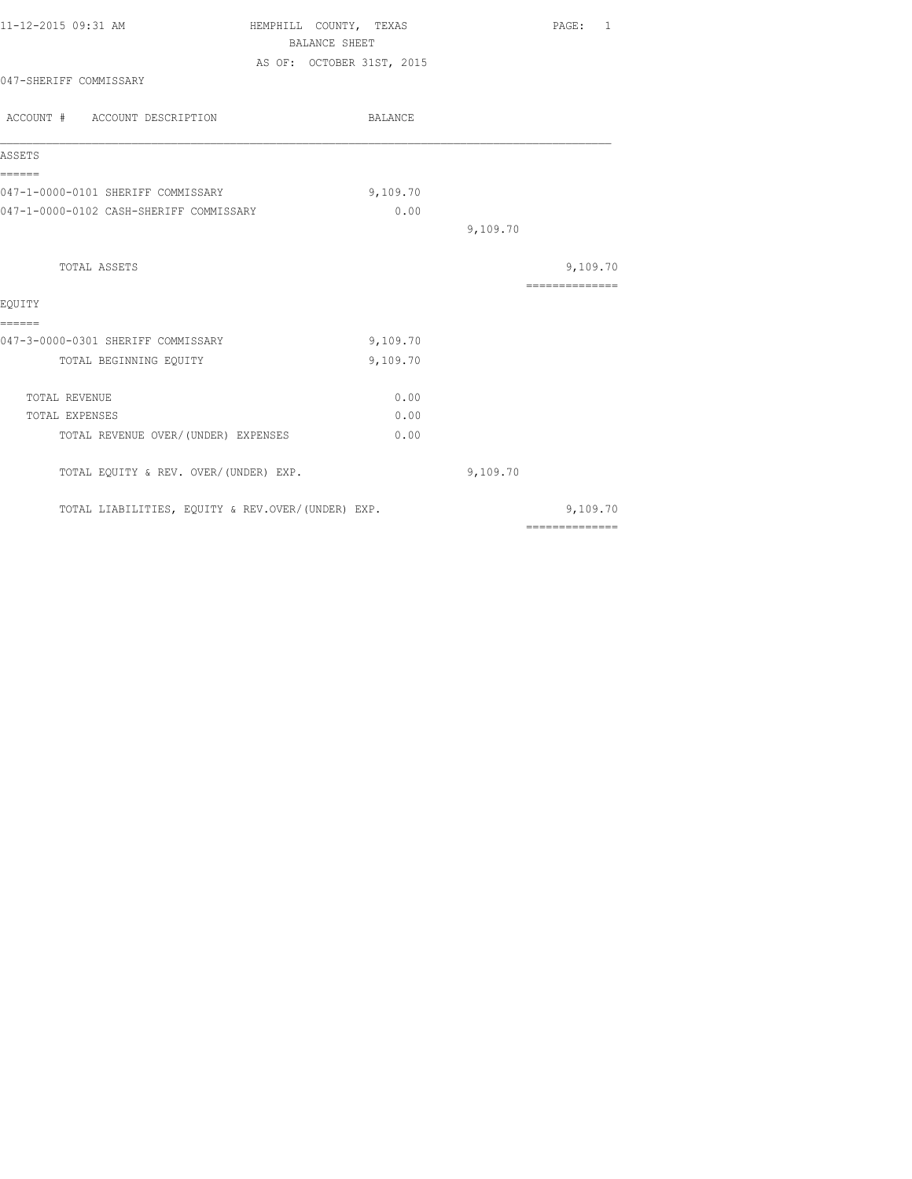| 11-12-2015 09:31 AM                               | HEMPHILL COUNTY, TEXAS<br>BALANCE SHEET | PAGE: 1                                                                                                                                                                                                                                                                                                                                                                                                                                                                                |
|---------------------------------------------------|-----------------------------------------|----------------------------------------------------------------------------------------------------------------------------------------------------------------------------------------------------------------------------------------------------------------------------------------------------------------------------------------------------------------------------------------------------------------------------------------------------------------------------------------|
|                                                   | AS OF: OCTOBER 31ST, 2015               |                                                                                                                                                                                                                                                                                                                                                                                                                                                                                        |
| 047-SHERIFF COMMISSARY                            |                                         |                                                                                                                                                                                                                                                                                                                                                                                                                                                                                        |
| ACCOUNT # ACCOUNT DESCRIPTION                     | BALANCE                                 |                                                                                                                                                                                                                                                                                                                                                                                                                                                                                        |
| ASSETS                                            |                                         |                                                                                                                                                                                                                                                                                                                                                                                                                                                                                        |
| ------<br>047-1-0000-0101 SHERIFF COMMISSARY      | 9,109.70                                |                                                                                                                                                                                                                                                                                                                                                                                                                                                                                        |
| 047-1-0000-0102 CASH-SHERIFF COMMISSARY           | 0.00                                    |                                                                                                                                                                                                                                                                                                                                                                                                                                                                                        |
|                                                   |                                         | 9,109.70                                                                                                                                                                                                                                                                                                                                                                                                                                                                               |
| TOTAL ASSETS                                      |                                         | 9,109.70                                                                                                                                                                                                                                                                                                                                                                                                                                                                               |
|                                                   |                                         | $\begin{array}{cccccccccccccc} \multicolumn{2}{c}{} & \multicolumn{2}{c}{} & \multicolumn{2}{c}{} & \multicolumn{2}{c}{} & \multicolumn{2}{c}{} & \multicolumn{2}{c}{} & \multicolumn{2}{c}{} & \multicolumn{2}{c}{} & \multicolumn{2}{c}{} & \multicolumn{2}{c}{} & \multicolumn{2}{c}{} & \multicolumn{2}{c}{} & \multicolumn{2}{c}{} & \multicolumn{2}{c}{} & \multicolumn{2}{c}{} & \multicolumn{2}{c}{} & \multicolumn{2}{c}{} & \multicolumn{2}{c}{} & \multicolumn{2}{c}{} & \$ |
| EOUITY<br>======                                  |                                         |                                                                                                                                                                                                                                                                                                                                                                                                                                                                                        |
| 047-3-0000-0301 SHERIFF COMMISSARY                | 9,109.70                                |                                                                                                                                                                                                                                                                                                                                                                                                                                                                                        |
| TOTAL BEGINNING EQUITY                            | 9,109.70                                |                                                                                                                                                                                                                                                                                                                                                                                                                                                                                        |
| TOTAL REVENUE                                     | 0.00                                    |                                                                                                                                                                                                                                                                                                                                                                                                                                                                                        |
| TOTAL EXPENSES                                    | 0.00                                    |                                                                                                                                                                                                                                                                                                                                                                                                                                                                                        |
| TOTAL REVENUE OVER/(UNDER) EXPENSES               | 0.00                                    |                                                                                                                                                                                                                                                                                                                                                                                                                                                                                        |
| TOTAL EQUITY & REV. OVER/(UNDER) EXP.             |                                         | 9,109.70                                                                                                                                                                                                                                                                                                                                                                                                                                                                               |
| TOTAL LIABILITIES, EQUITY & REV.OVER/(UNDER) EXP. |                                         | 9,109.70                                                                                                                                                                                                                                                                                                                                                                                                                                                                               |
|                                                   |                                         | $\begin{array}{cccccccccccccc} \multicolumn{2}{c}{} & \multicolumn{2}{c}{} & \multicolumn{2}{c}{} & \multicolumn{2}{c}{} & \multicolumn{2}{c}{} & \multicolumn{2}{c}{} & \multicolumn{2}{c}{} & \multicolumn{2}{c}{} & \multicolumn{2}{c}{} & \multicolumn{2}{c}{} & \multicolumn{2}{c}{} & \multicolumn{2}{c}{} & \multicolumn{2}{c}{} & \multicolumn{2}{c}{} & \multicolumn{2}{c}{} & \multicolumn{2}{c}{} & \multicolumn{2}{c}{} & \multicolumn{2}{c}{} & \multicolumn{2}{c}{} & \$ |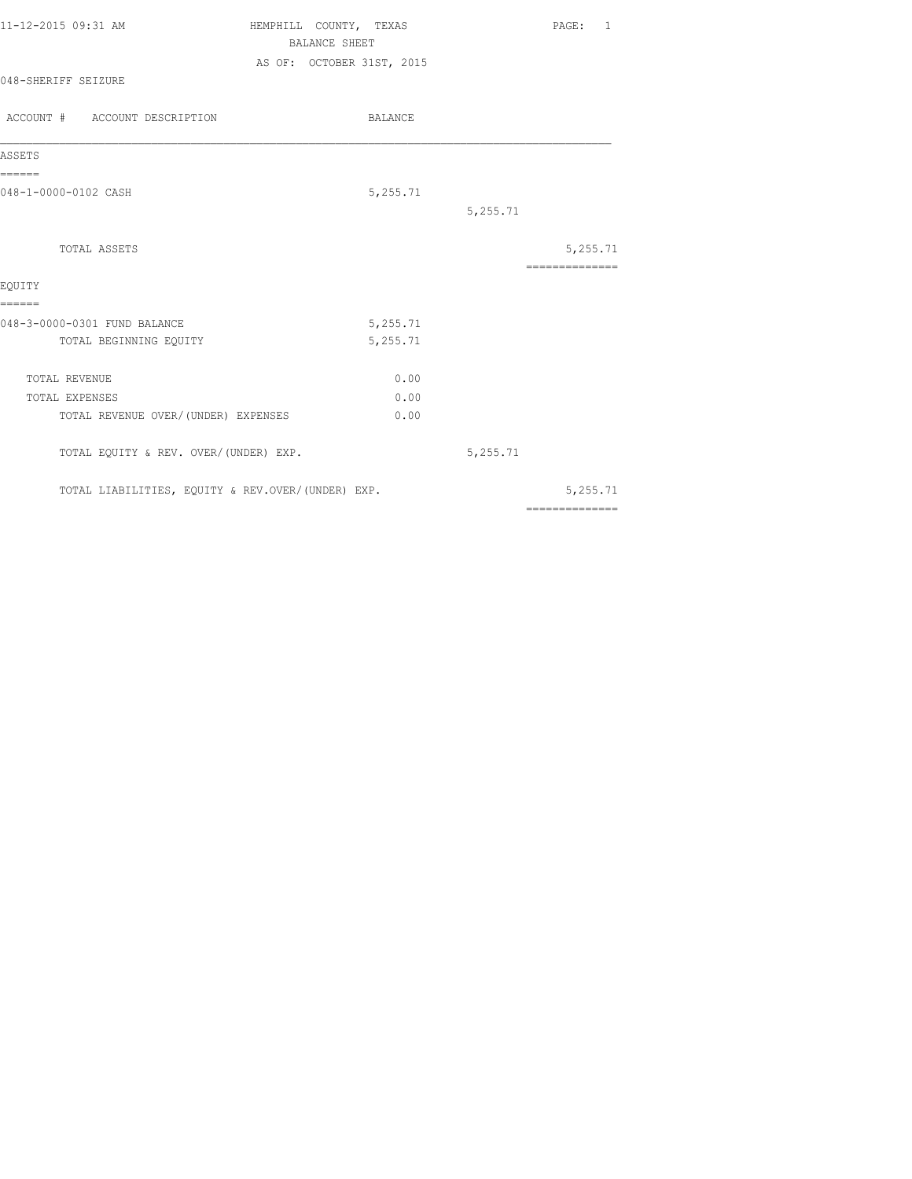| 11-12-2015 09:31 AM           | HEMPHILL COUNTY, TEXAS<br>BALANCE SHEET | PAGE: |  |
|-------------------------------|-----------------------------------------|-------|--|
| 048-SHERIFF SEIZURE           | AS OF: OCTOBER 31ST, 2015               |       |  |
| ACCOUNT # ACCOUNT DESCRIPTION | BALANCE                                 |       |  |
| ASSETS                        |                                         |       |  |
|                               |                                         |       |  |

048-1-0000-0102 CASH 5,255.71

|                                                   |          | 5,255.71 |                |
|---------------------------------------------------|----------|----------|----------------|
| TOTAL ASSETS                                      |          |          | 5,255.71       |
|                                                   |          |          |                |
| EQUITY                                            |          |          |                |
| ======                                            |          |          |                |
| 048-3-0000-0301 FUND BALANCE                      | 5,255.71 |          |                |
| TOTAL BEGINNING EQUITY                            | 5,255.71 |          |                |
| TOTAL REVENUE                                     | 0.00     |          |                |
| TOTAL EXPENSES                                    | 0.00     |          |                |
| TOTAL REVENUE OVER/(UNDER) EXPENSES               | 0.00     |          |                |
| TOTAL EQUITY & REV. OVER/(UNDER) EXP.             |          | 5,255.71 |                |
| TOTAL LIABILITIES, EQUITY & REV.OVER/(UNDER) EXP. |          |          | 5,255.71       |
|                                                   |          |          | -------------- |